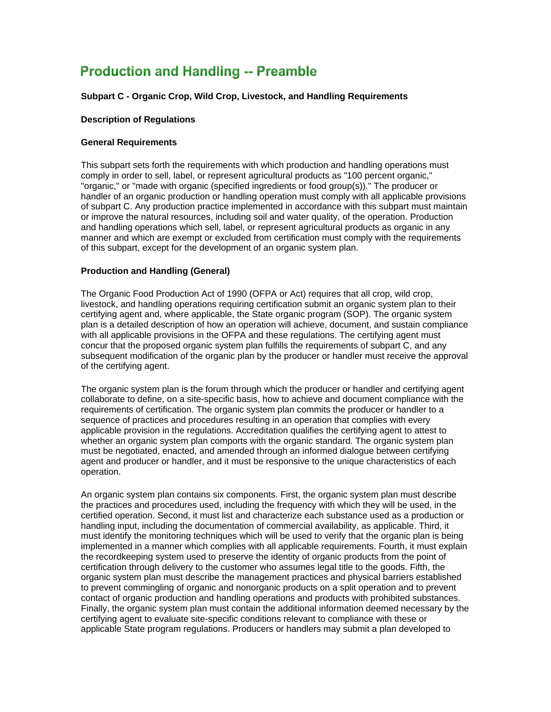# **Production and Handling -- Preamble**

# **Subpart C - Organic Crop, Wild Crop, Livestock, and Handling Requirements**

# **Description of Regulations**

#### **General Requirements**

This subpart sets forth the requirements with which production and handling operations must comply in order to sell, label, or represent agricultural products as "100 percent organic," "organic," or "made with organic (specified ingredients or food group(s))." The producer or handler of an organic production or handling operation must comply with all applicable provisions of subpart C. Any production practice implemented in accordance with this subpart must maintain or improve the natural resources, including soil and water quality, of the operation. Production and handling operations which sell, label, or represent agricultural products as organic in any manner and which are exempt or excluded from certification must comply with the requirements of this subpart, except for the development of an organic system plan.

#### **Production and Handling (General)**

The Organic Food Production Act of 1990 (OFPA or Act) requires that all crop, wild crop, livestock, and handling operations requiring certification submit an organic system plan to their certifying agent and, where applicable, the State organic program (SOP). The organic system plan is a detailed description of how an operation will achieve, document, and sustain compliance with all applicable provisions in the OFPA and these regulations. The certifying agent must concur that the proposed organic system plan fulfills the requirements of subpart C, and any subsequent modification of the organic plan by the producer or handler must receive the approval of the certifying agent.

The organic system plan is the forum through which the producer or handler and certifying agent collaborate to define, on a site-specific basis, how to achieve and document compliance with the requirements of certification. The organic system plan commits the producer or handler to a sequence of practices and procedures resulting in an operation that complies with every applicable provision in the regulations. Accreditation qualifies the certifying agent to attest to whether an organic system plan comports with the organic standard. The organic system plan must be negotiated, enacted, and amended through an informed dialogue between certifying agent and producer or handler, and it must be responsive to the unique characteristics of each operation.

An organic system plan contains six components. First, the organic system plan must describe the practices and procedures used, including the frequency with which they will be used, in the certified operation. Second, it must list and characterize each substance used as a production or handling input, including the documentation of commercial availability, as applicable. Third, it must identify the monitoring techniques which will be used to verify that the organic plan is being implemented in a manner which complies with all applicable requirements. Fourth, it must explain the recordkeeping system used to preserve the identity of organic products from the point of certification through delivery to the customer who assumes legal title to the goods. Fifth, the organic system plan must describe the management practices and physical barriers established to prevent commingling of organic and nonorganic products on a split operation and to prevent contact of organic production and handling operations and products with prohibited substances. Finally, the organic system plan must contain the additional information deemed necessary by the certifying agent to evaluate site-specific conditions relevant to compliance with these or applicable State program regulations. Producers or handlers may submit a plan developed to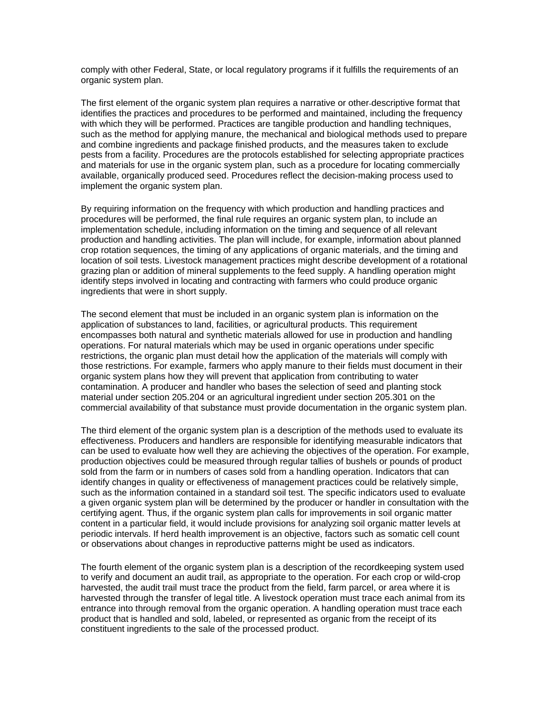comply with other Federal, State, or local regulatory programs if it fulfills the requirements of an organic system plan.

The first element of the organic system plan requires a narrative or other descriptive format that identifies the practices and procedures to be performed and maintained, including the frequency with which they will be performed. Practices are tangible production and handling techniques, such as the method for applying manure, the mechanical and biological methods used to prepare and combine ingredients and package finished products, and the measures taken to exclude pests from a facility. Procedures are the protocols established for selecting appropriate practices and materials for use in the organic system plan, such as a procedure for locating commercially available, organically produced seed. Procedures reflect the decision-making process used to implement the organic system plan.

By requiring information on the frequency with which production and handling practices and procedures will be performed, the final rule requires an organic system plan, to include an implementation schedule, including information on the timing and sequence of all relevant production and handling activities. The plan will include, for example, information about planned crop rotation sequences, the timing of any applications of organic materials, and the timing and location of soil tests. Livestock management practices might describe development of a rotational grazing plan or addition of mineral supplements to the feed supply. A handling operation might identify steps involved in locating and contracting with farmers who could produce organic ingredients that were in short supply.

The second element that must be included in an organic system plan is information on the application of substances to land, facilities, or agricultural products. This requirement encompasses both natural and synthetic materials allowed for use in production and handling operations. For natural materials which may be used in organic operations under specific restrictions, the organic plan must detail how the application of the materials will comply with those restrictions. For example, farmers who apply manure to their fields must document in their organic system plans how they will prevent that application from contributing to water contamination. A producer and handler who bases the selection of seed and planting stock material under section 205.204 or an agricultural ingredient under section 205.301 on the commercial availability of that substance must provide documentation in the organic system plan.

The third element of the organic system plan is a description of the methods used to evaluate its effectiveness. Producers and handlers are responsible for identifying measurable indicators that can be used to evaluate how well they are achieving the objectives of the operation. For example, production objectives could be measured through regular tallies of bushels or pounds of product sold from the farm or in numbers of cases sold from a handling operation. Indicators that can identify changes in quality or effectiveness of management practices could be relatively simple, such as the information contained in a standard soil test. The specific indicators used to evaluate a given organic system plan will be determined by the producer or handler in consultation with the certifying agent. Thus, if the organic system plan calls for improvements in soil organic matter content in a particular field, it would include provisions for analyzing soil organic matter levels at periodic intervals. If herd health improvement is an objective, factors such as somatic cell count or observations about changes in reproductive patterns might be used as indicators.

The fourth element of the organic system plan is a description of the recordkeeping system used to verify and document an audit trail, as appropriate to the operation. For each crop or wild-crop harvested, the audit trail must trace the product from the field, farm parcel, or area where it is harvested through the transfer of legal title. A livestock operation must trace each animal from its entrance into through removal from the organic operation. A handling operation must trace each product that is handled and sold, labeled, or represented as organic from the receipt of its constituent ingredients to the sale of the processed product.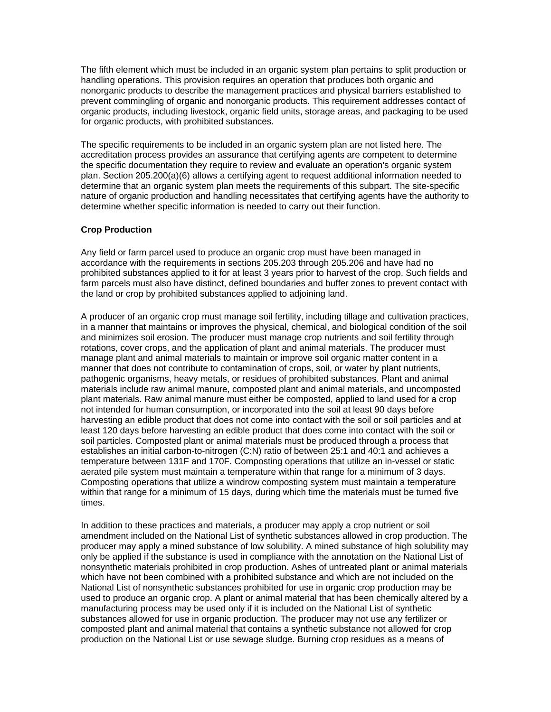The fifth element which must be included in an organic system plan pertains to split production or handling operations. This provision requires an operation that produces both organic and nonorganic products to describe the management practices and physical barriers established to prevent commingling of organic and nonorganic products. This requirement addresses contact of organic products, including livestock, organic field units, storage areas, and packaging to be used for organic products, with prohibited substances.

The specific requirements to be included in an organic system plan are not listed here. The accreditation process provides an assurance that certifying agents are competent to determine the specific documentation they require to review and evaluate an operation's organic system plan. Section 205.200(a)(6) allows a certifying agent to request additional information needed to determine that an organic system plan meets the requirements of this subpart. The site-specific nature of organic production and handling necessitates that certifying agents have the authority to determine whether specific information is needed to carry out their function.

# **Crop Production**

Any field or farm parcel used to produce an organic crop must have been managed in accordance with the requirements in sections 205.203 through 205.206 and have had no prohibited substances applied to it for at least 3 years prior to harvest of the crop. Such fields and farm parcels must also have distinct, defined boundaries and buffer zones to prevent contact with the land or crop by prohibited substances applied to adjoining land.

A producer of an organic crop must manage soil fertility, including tillage and cultivation practices, in a manner that maintains or improves the physical, chemical, and biological condition of the soil and minimizes soil erosion. The producer must manage crop nutrients and soil fertility through rotations, cover crops, and the application of plant and animal materials. The producer must manage plant and animal materials to maintain or improve soil organic matter content in a manner that does not contribute to contamination of crops, soil, or water by plant nutrients, pathogenic organisms, heavy metals, or residues of prohibited substances. Plant and animal materials include raw animal manure, composted plant and animal materials, and uncomposted plant materials. Raw animal manure must either be composted, applied to land used for a crop not intended for human consumption, or incorporated into the soil at least 90 days before harvesting an edible product that does not come into contact with the soil or soil particles and at least 120 days before harvesting an edible product that does come into contact with the soil or soil particles. Composted plant or animal materials must be produced through a process that establishes an initial carbon-to-nitrogen (C:N) ratio of between 25:1 and 40:1 and achieves a temperature between 131F and 170F. Composting operations that utilize an in-vessel or static aerated pile system must maintain a temperature within that range for a minimum of 3 days. Composting operations that utilize a windrow composting system must maintain a temperature within that range for a minimum of 15 days, during which time the materials must be turned five times.

In addition to these practices and materials, a producer may apply a crop nutrient or soil amendment included on the National List of synthetic substances allowed in crop production. The producer may apply a mined substance of low solubility. A mined substance of high solubility may only be applied if the substance is used in compliance with the annotation on the National List of nonsynthetic materials prohibited in crop production. Ashes of untreated plant or animal materials which have not been combined with a prohibited substance and which are not included on the National List of nonsynthetic substances prohibited for use in organic crop production may be used to produce an organic crop. A plant or animal material that has been chemically altered by a manufacturing process may be used only if it is included on the National List of synthetic substances allowed for use in organic production. The producer may not use any fertilizer or composted plant and animal material that contains a synthetic substance not allowed for crop production on the National List or use sewage sludge. Burning crop residues as a means of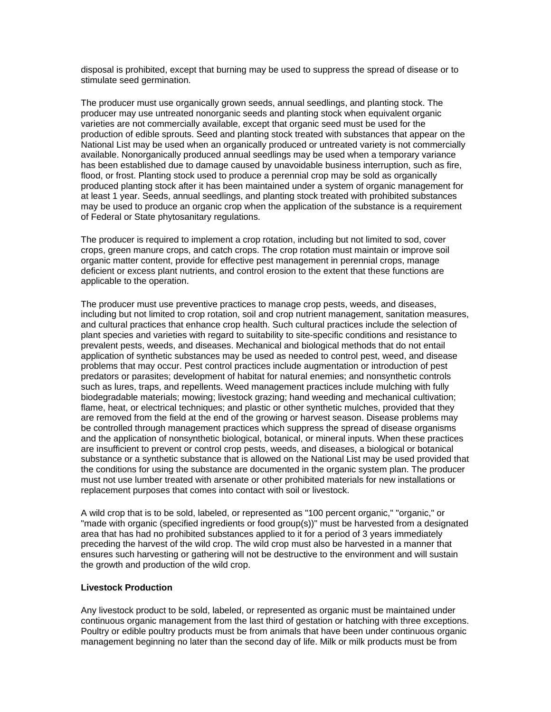disposal is prohibited, except that burning may be used to suppress the spread of disease or to stimulate seed germination.

The producer must use organically grown seeds, annual seedlings, and planting stock. The producer may use untreated nonorganic seeds and planting stock when equivalent organic varieties are not commercially available, except that organic seed must be used for the production of edible sprouts. Seed and planting stock treated with substances that appear on the National List may be used when an organically produced or untreated variety is not commercially available. Nonorganically produced annual seedlings may be used when a temporary variance has been established due to damage caused by unavoidable business interruption, such as fire, flood, or frost. Planting stock used to produce a perennial crop may be sold as organically produced planting stock after it has been maintained under a system of organic management for at least 1 year. Seeds, annual seedlings, and planting stock treated with prohibited substances may be used to produce an organic crop when the application of the substance is a requirement of Federal or State phytosanitary regulations.

The producer is required to implement a crop rotation, including but not limited to sod, cover crops, green manure crops, and catch crops. The crop rotation must maintain or improve soil organic matter content, provide for effective pest management in perennial crops, manage deficient or excess plant nutrients, and control erosion to the extent that these functions are applicable to the operation.

The producer must use preventive practices to manage crop pests, weeds, and diseases, including but not limited to crop rotation, soil and crop nutrient management, sanitation measures, and cultural practices that enhance crop health. Such cultural practices include the selection of plant species and varieties with regard to suitability to site-specific conditions and resistance to prevalent pests, weeds, and diseases. Mechanical and biological methods that do not entail application of synthetic substances may be used as needed to control pest, weed, and disease problems that may occur. Pest control practices include augmentation or introduction of pest predators or parasites; development of habitat for natural enemies; and nonsynthetic controls such as lures, traps, and repellents. Weed management practices include mulching with fully biodegradable materials; mowing; livestock grazing; hand weeding and mechanical cultivation; flame, heat, or electrical techniques; and plastic or other synthetic mulches, provided that they are removed from the field at the end of the growing or harvest season. Disease problems may be controlled through management practices which suppress the spread of disease organisms and the application of nonsynthetic biological, botanical, or mineral inputs. When these practices are insufficient to prevent or control crop pests, weeds, and diseases, a biological or botanical substance or a synthetic substance that is allowed on the National List may be used provided that the conditions for using the substance are documented in the organic system plan. The producer must not use lumber treated with arsenate or other prohibited materials for new installations or replacement purposes that comes into contact with soil or livestock.

A wild crop that is to be sold, labeled, or represented as "100 percent organic," "organic," or "made with organic (specified ingredients or food group(s))" must be harvested from a designated area that has had no prohibited substances applied to it for a period of 3 years immediately preceding the harvest of the wild crop. The wild crop must also be harvested in a manner that ensures such harvesting or gathering will not be destructive to the environment and will sustain the growth and production of the wild crop.

#### **Livestock Production**

Any livestock product to be sold, labeled, or represented as organic must be maintained under continuous organic management from the last third of gestation or hatching with three exceptions. Poultry or edible poultry products must be from animals that have been under continuous organic management beginning no later than the second day of life. Milk or milk products must be from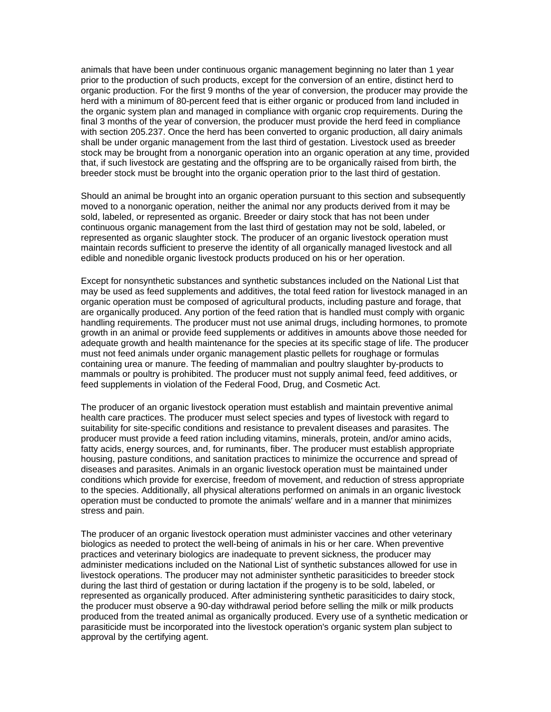animals that have been under continuous organic management beginning no later than 1 year prior to the production of such products, except for the conversion of an entire, distinct herd to organic production. For the first 9 months of the year of conversion, the producer may provide the herd with a minimum of 80-percent feed that is either organic or produced from land included in the organic system plan and managed in compliance with organic crop requirements. During the final 3 months of the year of conversion, the producer must provide the herd feed in compliance with section 205.237. Once the herd has been converted to organic production, all dairy animals shall be under organic management from the last third of gestation. Livestock used as breeder stock may be brought from a nonorganic operation into an organic operation at any time, provided that, if such livestock are gestating and the offspring are to be organically raised from birth, the breeder stock must be brought into the organic operation prior to the last third of gestation.

Should an animal be brought into an organic operation pursuant to this section and subsequently moved to a nonorganic operation, neither the animal nor any products derived from it may be sold, labeled, or represented as organic. Breeder or dairy stock that has not been under continuous organic management from the last third of gestation may not be sold, labeled, or represented as organic slaughter stock. The producer of an organic livestock operation must maintain records sufficient to preserve the identity of all organically managed livestock and all edible and nonedible organic livestock products produced on his or her operation.

Except for nonsynthetic substances and synthetic substances included on the National List that may be used as feed supplements and additives, the total feed ration for livestock managed in an organic operation must be composed of agricultural products, including pasture and forage, that are organically produced. Any portion of the feed ration that is handled must comply with organic handling requirements. The producer must not use animal drugs, including hormones, to promote growth in an animal or provide feed supplements or additives in amounts above those needed for adequate growth and health maintenance for the species at its specific stage of life. The producer must not feed animals under organic management plastic pellets for roughage or formulas containing urea or manure. The feeding of mammalian and poultry slaughter by-products to mammals or poultry is prohibited. The producer must not supply animal feed, feed additives, or feed supplements in violation of the Federal Food, Drug, and Cosmetic Act.

The producer of an organic livestock operation must establish and maintain preventive animal health care practices. The producer must select species and types of livestock with regard to suitability for site-specific conditions and resistance to prevalent diseases and parasites. The producer must provide a feed ration including vitamins, minerals, protein, and/or amino acids, fatty acids, energy sources, and, for ruminants, fiber. The producer must establish appropriate housing, pasture conditions, and sanitation practices to minimize the occurrence and spread of diseases and parasites. Animals in an organic livestock operation must be maintained under conditions which provide for exercise, freedom of movement, and reduction of stress appropriate to the species. Additionally, all physical alterations performed on animals in an organic livestock operation must be conducted to promote the animals' welfare and in a manner that minimizes stress and pain.

The producer of an organic livestock operation must administer vaccines and other veterinary biologics as needed to protect the well-being of animals in his or her care. When preventive practices and veterinary biologics are inadequate to prevent sickness, the producer may administer medications included on the National List of synthetic substances allowed for use in livestock operations. The producer may not administer synthetic parasiticides to breeder stock during the last third of gestation or during lactation if the progeny is to be sold, labeled, or represented as organically produced. After administering synthetic parasiticides to dairy stock, the producer must observe a 90-day withdrawal period before selling the milk or milk products produced from the treated animal as organically produced. Every use of a synthetic medication or parasiticide must be incorporated into the livestock operation's organic system plan subject to approval by the certifying agent.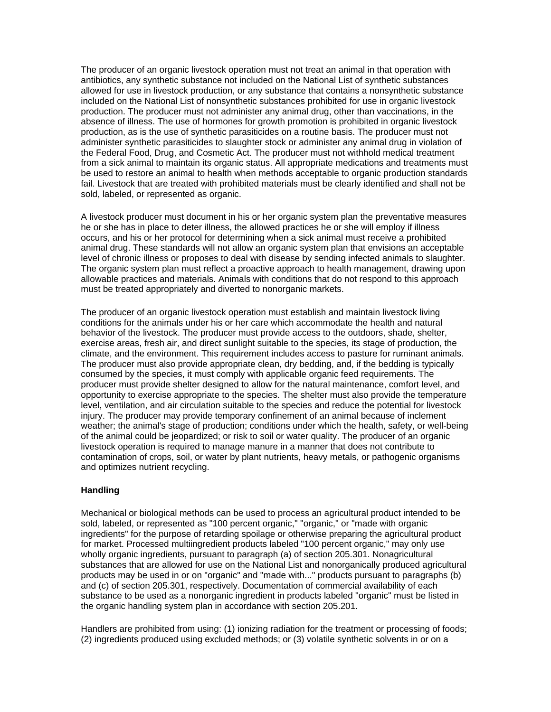The producer of an organic livestock operation must not treat an animal in that operation with antibiotics, any synthetic substance not included on the National List of synthetic substances allowed for use in livestock production, or any substance that contains a nonsynthetic substance included on the National List of nonsynthetic substances prohibited for use in organic livestock production. The producer must not administer any animal drug, other than vaccinations, in the absence of illness. The use of hormones for growth promotion is prohibited in organic livestock production, as is the use of synthetic parasiticides on a routine basis. The producer must not administer synthetic parasiticides to slaughter stock or administer any animal drug in violation of the Federal Food, Drug, and Cosmetic Act. The producer must not withhold medical treatment from a sick animal to maintain its organic status. All appropriate medications and treatments must be used to restore an animal to health when methods acceptable to organic production standards fail. Livestock that are treated with prohibited materials must be clearly identified and shall not be sold, labeled, or represented as organic.

A livestock producer must document in his or her organic system plan the preventative measures he or she has in place to deter illness, the allowed practices he or she will employ if illness occurs, and his or her protocol for determining when a sick animal must receive a prohibited animal drug. These standards will not allow an organic system plan that envisions an acceptable level of chronic illness or proposes to deal with disease by sending infected animals to slaughter. The organic system plan must reflect a proactive approach to health management, drawing upon allowable practices and materials. Animals with conditions that do not respond to this approach must be treated appropriately and diverted to nonorganic markets.

The producer of an organic livestock operation must establish and maintain livestock living conditions for the animals under his or her care which accommodate the health and natural behavior of the livestock. The producer must provide access to the outdoors, shade, shelter, exercise areas, fresh air, and direct sunlight suitable to the species, its stage of production, the climate, and the environment. This requirement includes access to pasture for ruminant animals. The producer must also provide appropriate clean, dry bedding, and, if the bedding is typically consumed by the species, it must comply with applicable organic feed requirements. The producer must provide shelter designed to allow for the natural maintenance, comfort level, and opportunity to exercise appropriate to the species. The shelter must also provide the temperature level, ventilation, and air circulation suitable to the species and reduce the potential for livestock injury. The producer may provide temporary confinement of an animal because of inclement weather; the animal's stage of production; conditions under which the health, safety, or well-being of the animal could be jeopardized; or risk to soil or water quality. The producer of an organic livestock operation is required to manage manure in a manner that does not contribute to contamination of crops, soil, or water by plant nutrients, heavy metals, or pathogenic organisms and optimizes nutrient recycling.

#### **Handling**

Mechanical or biological methods can be used to process an agricultural product intended to be sold, labeled, or represented as "100 percent organic," "organic," or "made with organic ingredients" for the purpose of retarding spoilage or otherwise preparing the agricultural product for market. Processed multiingredient products labeled "100 percent organic," may only use wholly organic ingredients, pursuant to paragraph (a) of section 205.301. Nonagricultural substances that are allowed for use on the National List and nonorganically produced agricultural products may be used in or on "organic" and "made with..." products pursuant to paragraphs (b) and (c) of section 205.301, respectively. Documentation of commercial availability of each substance to be used as a nonorganic ingredient in products labeled "organic" must be listed in the organic handling system plan in accordance with section 205.201.

Handlers are prohibited from using: (1) ionizing radiation for the treatment or processing of foods; (2) ingredients produced using excluded methods; or (3) volatile synthetic solvents in or on a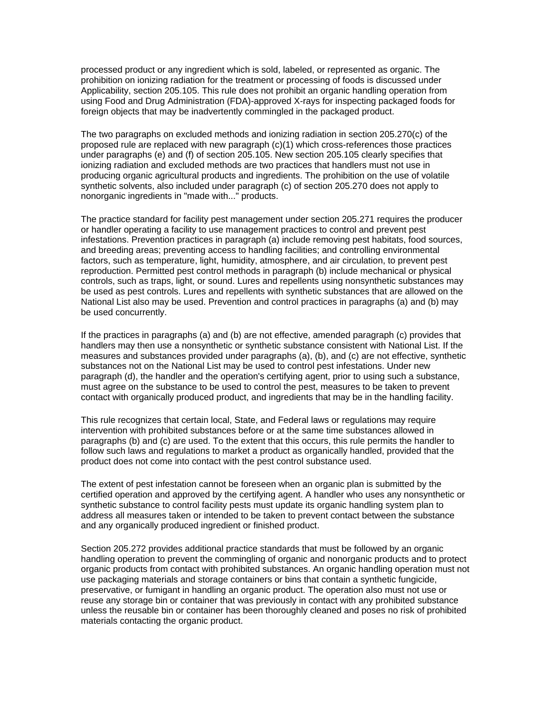processed product or any ingredient which is sold, labeled, or represented as organic. The prohibition on ionizing radiation for the treatment or processing of foods is discussed under Applicability, section 205.105. This rule does not prohibit an organic handling operation from using Food and Drug Administration (FDA)-approved X-rays for inspecting packaged foods for foreign objects that may be inadvertently commingled in the packaged product.

The two paragraphs on excluded methods and ionizing radiation in section 205.270(c) of the proposed rule are replaced with new paragraph (c)(1) which cross-references those practices under paragraphs (e) and (f) of section 205.105. New section 205.105 clearly specifies that ionizing radiation and excluded methods are two practices that handlers must not use in producing organic agricultural products and ingredients. The prohibition on the use of volatile synthetic solvents, also included under paragraph (c) of section 205.270 does not apply to nonorganic ingredients in "made with..." products.

The practice standard for facility pest management under section 205.271 requires the producer or handler operating a facility to use management practices to control and prevent pest infestations. Prevention practices in paragraph (a) include removing pest habitats, food sources, and breeding areas; preventing access to handling facilities; and controlling environmental factors, such as temperature, light, humidity, atmosphere, and air circulation, to prevent pest reproduction. Permitted pest control methods in paragraph (b) include mechanical or physical controls, such as traps, light, or sound. Lures and repellents using nonsynthetic substances may be used as pest controls. Lures and repellents with synthetic substances that are allowed on the National List also may be used. Prevention and control practices in paragraphs (a) and (b) may be used concurrently.

If the practices in paragraphs (a) and (b) are not effective, amended paragraph (c) provides that handlers may then use a nonsynthetic or synthetic substance consistent with National List. If the measures and substances provided under paragraphs (a), (b), and (c) are not effective, synthetic substances not on the National List may be used to control pest infestations. Under new paragraph (d), the handler and the operation's certifying agent, prior to using such a substance, must agree on the substance to be used to control the pest, measures to be taken to prevent contact with organically produced product, and ingredients that may be in the handling facility.

This rule recognizes that certain local, State, and Federal laws or regulations may require intervention with prohibited substances before or at the same time substances allowed in paragraphs (b) and (c) are used. To the extent that this occurs, this rule permits the handler to follow such laws and regulations to market a product as organically handled, provided that the product does not come into contact with the pest control substance used.

The extent of pest infestation cannot be foreseen when an organic plan is submitted by the certified operation and approved by the certifying agent. A handler who uses any nonsynthetic or synthetic substance to control facility pests must update its organic handling system plan to address all measures taken or intended to be taken to prevent contact between the substance and any organically produced ingredient or finished product.

Section 205.272 provides additional practice standards that must be followed by an organic handling operation to prevent the commingling of organic and nonorganic products and to protect organic products from contact with prohibited substances. An organic handling operation must not use packaging materials and storage containers or bins that contain a synthetic fungicide, preservative, or fumigant in handling an organic product. The operation also must not use or reuse any storage bin or container that was previously in contact with any prohibited substance unless the reusable bin or container has been thoroughly cleaned and poses no risk of prohibited materials contacting the organic product.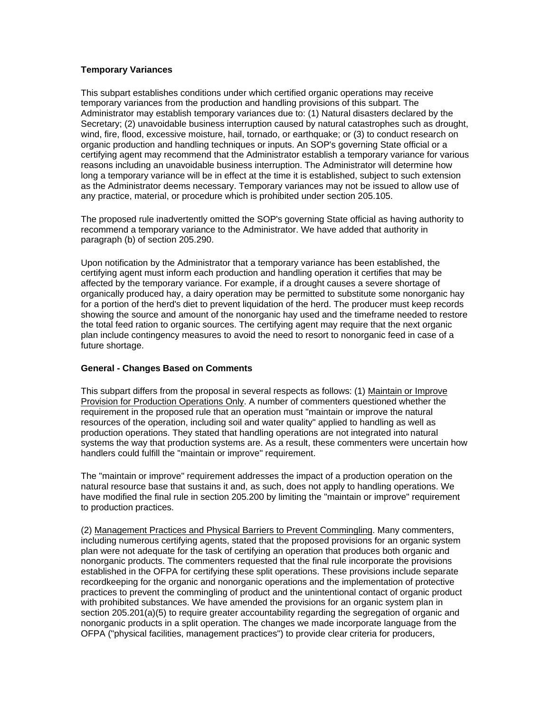# **Temporary Variances**

This subpart establishes conditions under which certified organic operations may receive temporary variances from the production and handling provisions of this subpart. The Administrator may establish temporary variances due to: (1) Natural disasters declared by the Secretary; (2) unavoidable business interruption caused by natural catastrophes such as drought, wind, fire, flood, excessive moisture, hail, tornado, or earthquake; or (3) to conduct research on organic production and handling techniques or inputs. An SOP's governing State official or a certifying agent may recommend that the Administrator establish a temporary variance for various reasons including an unavoidable business interruption. The Administrator will determine how long a temporary variance will be in effect at the time it is established, subject to such extension as the Administrator deems necessary. Temporary variances may not be issued to allow use of any practice, material, or procedure which is prohibited under section 205.105.

The proposed rule inadvertently omitted the SOP's governing State official as having authority to recommend a temporary variance to the Administrator. We have added that authority in paragraph (b) of section 205.290.

Upon notification by the Administrator that a temporary variance has been established, the certifying agent must inform each production and handling operation it certifies that may be affected by the temporary variance. For example, if a drought causes a severe shortage of organically produced hay, a dairy operation may be permitted to substitute some nonorganic hay for a portion of the herd's diet to prevent liquidation of the herd. The producer must keep records showing the source and amount of the nonorganic hay used and the timeframe needed to restore the total feed ration to organic sources. The certifying agent may require that the next organic plan include contingency measures to avoid the need to resort to nonorganic feed in case of a future shortage.

# **General - Changes Based on Comments**

This subpart differs from the proposal in several respects as follows: (1) Maintain or Improve Provision for Production Operations Only. A number of commenters questioned whether the requirement in the proposed rule that an operation must "maintain or improve the natural resources of the operation, including soil and water quality" applied to handling as well as production operations. They stated that handling operations are not integrated into natural systems the way that production systems are. As a result, these commenters were uncertain how handlers could fulfill the "maintain or improve" requirement.

The "maintain or improve" requirement addresses the impact of a production operation on the natural resource base that sustains it and, as such, does not apply to handling operations. We have modified the final rule in section 205.200 by limiting the "maintain or improve" requirement to production practices.

(2) Management Practices and Physical Barriers to Prevent Commingling. Many commenters, including numerous certifying agents, stated that the proposed provisions for an organic system plan were not adequate for the task of certifying an operation that produces both organic and nonorganic products. The commenters requested that the final rule incorporate the provisions established in the OFPA for certifying these split operations. These provisions include separate recordkeeping for the organic and nonorganic operations and the implementation of protective practices to prevent the commingling of product and the unintentional contact of organic product with prohibited substances. We have amended the provisions for an organic system plan in section 205.201(a)(5) to require greater accountability regarding the segregation of organic and nonorganic products in a split operation. The changes we made incorporate language from the OFPA ("physical facilities, management practices") to provide clear criteria for producers,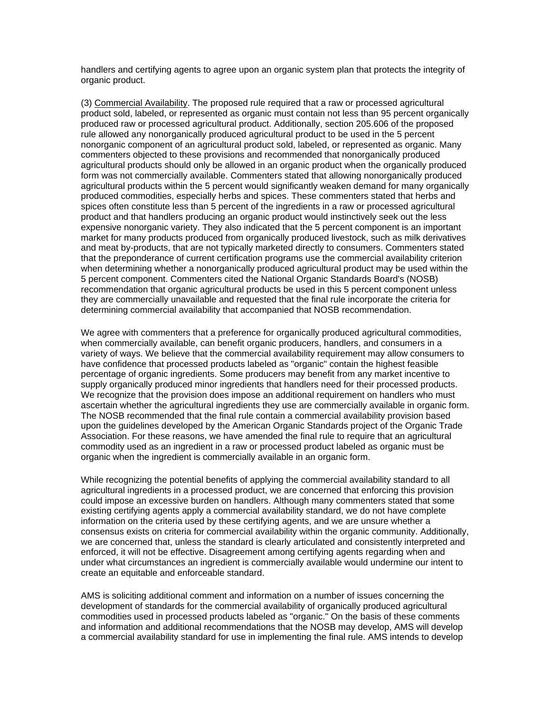handlers and certifying agents to agree upon an organic system plan that protects the integrity of organic product.

(3) Commercial Availability. The proposed rule required that a raw or processed agricultural product sold, labeled, or represented as organic must contain not less than 95 percent organically produced raw or processed agricultural product. Additionally, section 205.606 of the proposed rule allowed any nonorganically produced agricultural product to be used in the 5 percent nonorganic component of an agricultural product sold, labeled, or represented as organic. Many commenters objected to these provisions and recommended that nonorganically produced agricultural products should only be allowed in an organic product when the organically produced form was not commercially available. Commenters stated that allowing nonorganically produced agricultural products within the 5 percent would significantly weaken demand for many organically produced commodities, especially herbs and spices. These commenters stated that herbs and spices often constitute less than 5 percent of the ingredients in a raw or processed agricultural product and that handlers producing an organic product would instinctively seek out the less expensive nonorganic variety. They also indicated that the 5 percent component is an important market for many products produced from organically produced livestock, such as milk derivatives and meat by-products, that are not typically marketed directly to consumers. Commenters stated that the preponderance of current certification programs use the commercial availability criterion when determining whether a nonorganically produced agricultural product may be used within the 5 percent component. Commenters cited the National Organic Standards Board's (NOSB) recommendation that organic agricultural products be used in this 5 percent component unless they are commercially unavailable and requested that the final rule incorporate the criteria for determining commercial availability that accompanied that NOSB recommendation.

We agree with commenters that a preference for organically produced agricultural commodities, when commercially available, can benefit organic producers, handlers, and consumers in a variety of ways. We believe that the commercial availability requirement may allow consumers to have confidence that processed products labeled as "organic" contain the highest feasible percentage of organic ingredients. Some producers may benefit from any market incentive to supply organically produced minor ingredients that handlers need for their processed products. We recognize that the provision does impose an additional requirement on handlers who must ascertain whether the agricultural ingredients they use are commercially available in organic form. The NOSB recommended that the final rule contain a commercial availability provision based upon the guidelines developed by the American Organic Standards project of the Organic Trade Association. For these reasons, we have amended the final rule to require that an agricultural commodity used as an ingredient in a raw or processed product labeled as organic must be organic when the ingredient is commercially available in an organic form.

While recognizing the potential benefits of applying the commercial availability standard to all agricultural ingredients in a processed product, we are concerned that enforcing this provision could impose an excessive burden on handlers. Although many commenters stated that some existing certifying agents apply a commercial availability standard, we do not have complete information on the criteria used by these certifying agents, and we are unsure whether a consensus exists on criteria for commercial availability within the organic community. Additionally, we are concerned that, unless the standard is clearly articulated and consistently interpreted and enforced, it will not be effective. Disagreement among certifying agents regarding when and under what circumstances an ingredient is commercially available would undermine our intent to create an equitable and enforceable standard.

AMS is soliciting additional comment and information on a number of issues concerning the development of standards for the commercial availability of organically produced agricultural commodities used in processed products labeled as "organic." On the basis of these comments and information and additional recommendations that the NOSB may develop, AMS will develop a commercial availability standard for use in implementing the final rule. AMS intends to develop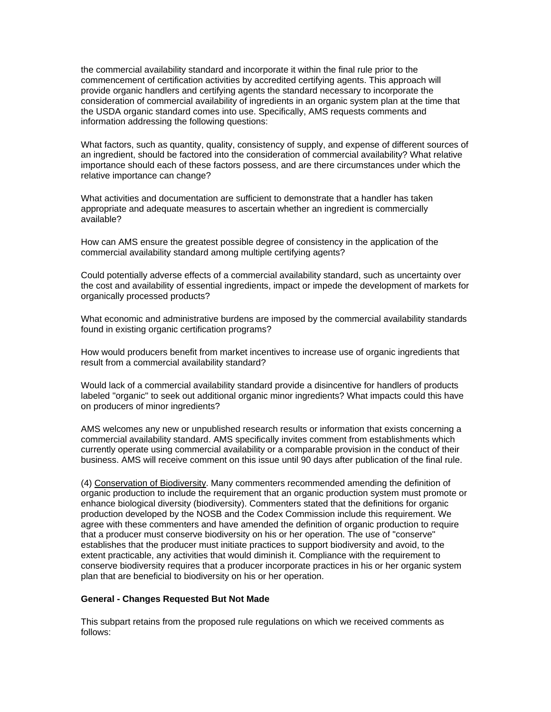the commercial availability standard and incorporate it within the final rule prior to the commencement of certification activities by accredited certifying agents. This approach will provide organic handlers and certifying agents the standard necessary to incorporate the consideration of commercial availability of ingredients in an organic system plan at the time that the USDA organic standard comes into use. Specifically, AMS requests comments and information addressing the following questions:

What factors, such as quantity, quality, consistency of supply, and expense of different sources of an ingredient, should be factored into the consideration of commercial availability? What relative importance should each of these factors possess, and are there circumstances under which the relative importance can change?

What activities and documentation are sufficient to demonstrate that a handler has taken appropriate and adequate measures to ascertain whether an ingredient is commercially available?

How can AMS ensure the greatest possible degree of consistency in the application of the commercial availability standard among multiple certifying agents?

Could potentially adverse effects of a commercial availability standard, such as uncertainty over the cost and availability of essential ingredients, impact or impede the development of markets for organically processed products?

What economic and administrative burdens are imposed by the commercial availability standards found in existing organic certification programs?

How would producers benefit from market incentives to increase use of organic ingredients that result from a commercial availability standard?

Would lack of a commercial availability standard provide a disincentive for handlers of products labeled "organic" to seek out additional organic minor ingredients? What impacts could this have on producers of minor ingredients?

AMS welcomes any new or unpublished research results or information that exists concerning a commercial availability standard. AMS specifically invites comment from establishments which currently operate using commercial availability or a comparable provision in the conduct of their business. AMS will receive comment on this issue until 90 days after publication of the final rule.

(4) Conservation of Biodiversity. Many commenters recommended amending the definition of organic production to include the requirement that an organic production system must promote or enhance biological diversity (biodiversity). Commenters stated that the definitions for organic production developed by the NOSB and the Codex Commission include this requirement. We agree with these commenters and have amended the definition of organic production to require that a producer must conserve biodiversity on his or her operation. The use of "conserve" establishes that the producer must initiate practices to support biodiversity and avoid, to the extent practicable, any activities that would diminish it. Compliance with the requirement to conserve biodiversity requires that a producer incorporate practices in his or her organic system plan that are beneficial to biodiversity on his or her operation.

### **General - Changes Requested But Not Made**

This subpart retains from the proposed rule regulations on which we received comments as follows: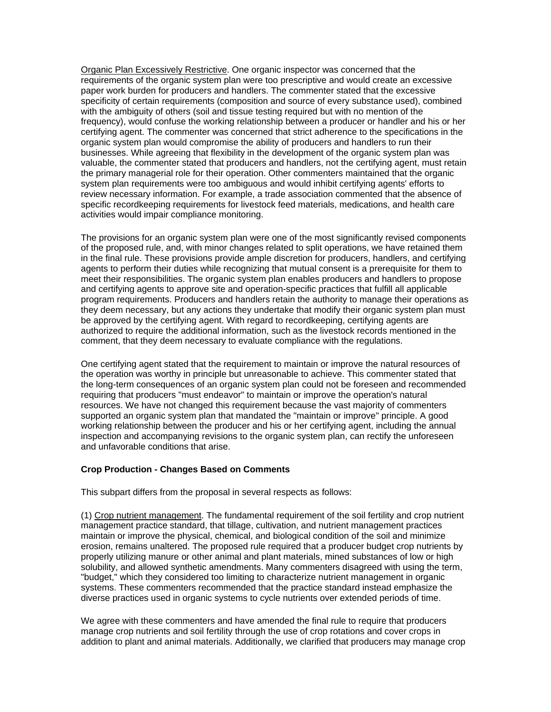Organic Plan Excessively Restrictive. One organic inspector was concerned that the requirements of the organic system plan were too prescriptive and would create an excessive paper work burden for producers and handlers. The commenter stated that the excessive specificity of certain requirements (composition and source of every substance used), combined with the ambiguity of others (soil and tissue testing required but with no mention of the frequency), would confuse the working relationship between a producer or handler and his or her certifying agent. The commenter was concerned that strict adherence to the specifications in the organic system plan would compromise the ability of producers and handlers to run their businesses. While agreeing that flexibility in the development of the organic system plan was valuable, the commenter stated that producers and handlers, not the certifying agent, must retain the primary managerial role for their operation. Other commenters maintained that the organic system plan requirements were too ambiguous and would inhibit certifying agents' efforts to review necessary information. For example, a trade association commented that the absence of specific recordkeeping requirements for livestock feed materials, medications, and health care activities would impair compliance monitoring.

The provisions for an organic system plan were one of the most significantly revised components of the proposed rule, and, with minor changes related to split operations, we have retained them in the final rule. These provisions provide ample discretion for producers, handlers, and certifying agents to perform their duties while recognizing that mutual consent is a prerequisite for them to meet their responsibilities. The organic system plan enables producers and handlers to propose and certifying agents to approve site and operation-specific practices that fulfill all applicable program requirements. Producers and handlers retain the authority to manage their operations as they deem necessary, but any actions they undertake that modify their organic system plan must be approved by the certifying agent. With regard to recordkeeping, certifying agents are authorized to require the additional information, such as the livestock records mentioned in the comment, that they deem necessary to evaluate compliance with the regulations.

One certifying agent stated that the requirement to maintain or improve the natural resources of the operation was worthy in principle but unreasonable to achieve. This commenter stated that the long-term consequences of an organic system plan could not be foreseen and recommended requiring that producers "must endeavor" to maintain or improve the operation's natural resources. We have not changed this requirement because the vast majority of commenters supported an organic system plan that mandated the "maintain or improve" principle. A good working relationship between the producer and his or her certifying agent, including the annual inspection and accompanying revisions to the organic system plan, can rectify the unforeseen and unfavorable conditions that arise.

#### **Crop Production - Changes Based on Comments**

This subpart differs from the proposal in several respects as follows:

(1) Crop nutrient management. The fundamental requirement of the soil fertility and crop nutrient management practice standard, that tillage, cultivation, and nutrient management practices maintain or improve the physical, chemical, and biological condition of the soil and minimize erosion, remains unaltered. The proposed rule required that a producer budget crop nutrients by properly utilizing manure or other animal and plant materials, mined substances of low or high solubility, and allowed synthetic amendments. Many commenters disagreed with using the term, "budget," which they considered too limiting to characterize nutrient management in organic systems. These commenters recommended that the practice standard instead emphasize the diverse practices used in organic systems to cycle nutrients over extended periods of time.

We agree with these commenters and have amended the final rule to require that producers manage crop nutrients and soil fertility through the use of crop rotations and cover crops in addition to plant and animal materials. Additionally, we clarified that producers may manage crop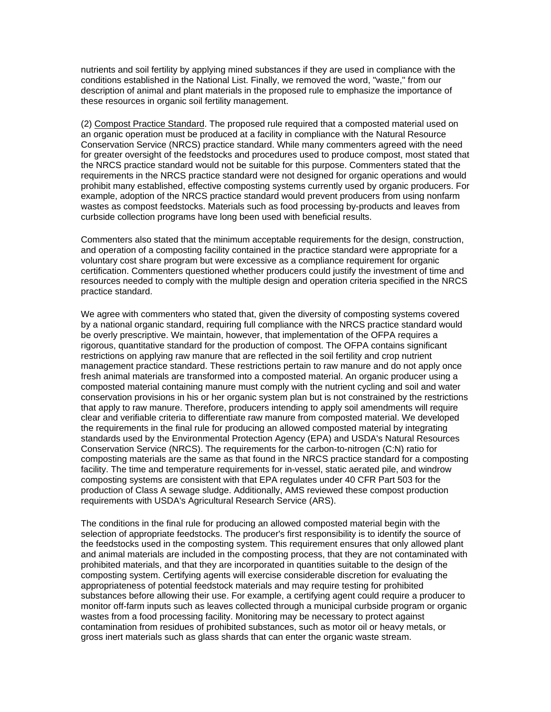nutrients and soil fertility by applying mined substances if they are used in compliance with the conditions established in the National List. Finally, we removed the word, "waste," from our description of animal and plant materials in the proposed rule to emphasize the importance of these resources in organic soil fertility management.

(2) Compost Practice Standard. The proposed rule required that a composted material used on an organic operation must be produced at a facility in compliance with the Natural Resource Conservation Service (NRCS) practice standard. While many commenters agreed with the need for greater oversight of the feedstocks and procedures used to produce compost, most stated that the NRCS practice standard would not be suitable for this purpose. Commenters stated that the requirements in the NRCS practice standard were not designed for organic operations and would prohibit many established, effective composting systems currently used by organic producers. For example, adoption of the NRCS practice standard would prevent producers from using nonfarm wastes as compost feedstocks. Materials such as food processing by-products and leaves from curbside collection programs have long been used with beneficial results.

Commenters also stated that the minimum acceptable requirements for the design, construction, and operation of a composting facility contained in the practice standard were appropriate for a voluntary cost share program but were excessive as a compliance requirement for organic certification. Commenters questioned whether producers could justify the investment of time and resources needed to comply with the multiple design and operation criteria specified in the NRCS practice standard.

We agree with commenters who stated that, given the diversity of composting systems covered by a national organic standard, requiring full compliance with the NRCS practice standard would be overly prescriptive. We maintain, however, that implementation of the OFPA requires a rigorous, quantitative standard for the production of compost. The OFPA contains significant restrictions on applying raw manure that are reflected in the soil fertility and crop nutrient management practice standard. These restrictions pertain to raw manure and do not apply once fresh animal materials are transformed into a composted material. An organic producer using a composted material containing manure must comply with the nutrient cycling and soil and water conservation provisions in his or her organic system plan but is not constrained by the restrictions that apply to raw manure. Therefore, producers intending to apply soil amendments will require clear and verifiable criteria to differentiate raw manure from composted material. We developed the requirements in the final rule for producing an allowed composted material by integrating standards used by the Environmental Protection Agency (EPA) and USDA's Natural Resources Conservation Service (NRCS). The requirements for the carbon-to-nitrogen (C:N) ratio for composting materials are the same as that found in the NRCS practice standard for a composting facility. The time and temperature requirements for in-vessel, static aerated pile, and windrow composting systems are consistent with that EPA regulates under 40 CFR Part 503 for the production of Class A sewage sludge. Additionally, AMS reviewed these compost production requirements with USDA's Agricultural Research Service (ARS).

The conditions in the final rule for producing an allowed composted material begin with the selection of appropriate feedstocks. The producer's first responsibility is to identify the source of the feedstocks used in the composting system. This requirement ensures that only allowed plant and animal materials are included in the composting process, that they are not contaminated with prohibited materials, and that they are incorporated in quantities suitable to the design of the composting system. Certifying agents will exercise considerable discretion for evaluating the appropriateness of potential feedstock materials and may require testing for prohibited substances before allowing their use. For example, a certifying agent could require a producer to monitor off-farm inputs such as leaves collected through a municipal curbside program or organic wastes from a food processing facility. Monitoring may be necessary to protect against contamination from residues of prohibited substances, such as motor oil or heavy metals, or gross inert materials such as glass shards that can enter the organic waste stream.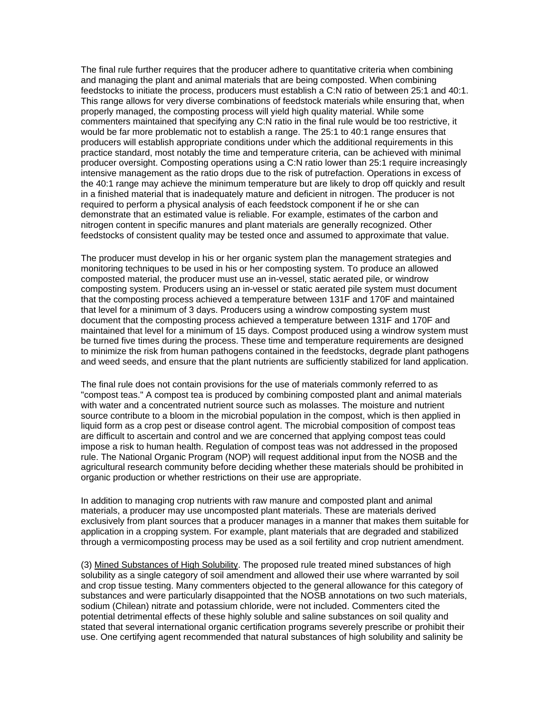The final rule further requires that the producer adhere to quantitative criteria when combining and managing the plant and animal materials that are being composted. When combining feedstocks to initiate the process, producers must establish a C:N ratio of between 25:1 and 40:1. This range allows for very diverse combinations of feedstock materials while ensuring that, when properly managed, the composting process will yield high quality material. While some commenters maintained that specifying any C:N ratio in the final rule would be too restrictive, it would be far more problematic not to establish a range. The 25:1 to 40:1 range ensures that producers will establish appropriate conditions under which the additional requirements in this practice standard, most notably the time and temperature criteria, can be achieved with minimal producer oversight. Composting operations using a C:N ratio lower than 25:1 require increasingly intensive management as the ratio drops due to the risk of putrefaction. Operations in excess of the 40:1 range may achieve the minimum temperature but are likely to drop off quickly and result in a finished material that is inadequately mature and deficient in nitrogen. The producer is not required to perform a physical analysis of each feedstock component if he or she can demonstrate that an estimated value is reliable. For example, estimates of the carbon and nitrogen content in specific manures and plant materials are generally recognized. Other feedstocks of consistent quality may be tested once and assumed to approximate that value.

The producer must develop in his or her organic system plan the management strategies and monitoring techniques to be used in his or her composting system. To produce an allowed composted material, the producer must use an in-vessel, static aerated pile, or windrow composting system. Producers using an in-vessel or static aerated pile system must document that the composting process achieved a temperature between 131F and 170F and maintained that level for a minimum of 3 days. Producers using a windrow composting system must document that the composting process achieved a temperature between 131F and 170F and maintained that level for a minimum of 15 days. Compost produced using a windrow system must be turned five times during the process. These time and temperature requirements are designed to minimize the risk from human pathogens contained in the feedstocks, degrade plant pathogens and weed seeds, and ensure that the plant nutrients are sufficiently stabilized for land application.

The final rule does not contain provisions for the use of materials commonly referred to as "compost teas." A compost tea is produced by combining composted plant and animal materials with water and a concentrated nutrient source such as molasses. The moisture and nutrient source contribute to a bloom in the microbial population in the compost, which is then applied in liquid form as a crop pest or disease control agent. The microbial composition of compost teas are difficult to ascertain and control and we are concerned that applying compost teas could impose a risk to human health. Regulation of compost teas was not addressed in the proposed rule. The National Organic Program (NOP) will request additional input from the NOSB and the agricultural research community before deciding whether these materials should be prohibited in organic production or whether restrictions on their use are appropriate.

In addition to managing crop nutrients with raw manure and composted plant and animal materials, a producer may use uncomposted plant materials. These are materials derived exclusively from plant sources that a producer manages in a manner that makes them suitable for application in a cropping system. For example, plant materials that are degraded and stabilized through a vermicomposting process may be used as a soil fertility and crop nutrient amendment.

(3) Mined Substances of High Solubility. The proposed rule treated mined substances of high solubility as a single category of soil amendment and allowed their use where warranted by soil and crop tissue testing. Many commenters objected to the general allowance for this category of substances and were particularly disappointed that the NOSB annotations on two such materials, sodium (Chilean) nitrate and potassium chloride, were not included. Commenters cited the potential detrimental effects of these highly soluble and saline substances on soil quality and stated that several international organic certification programs severely prescribe or prohibit their use. One certifying agent recommended that natural substances of high solubility and salinity be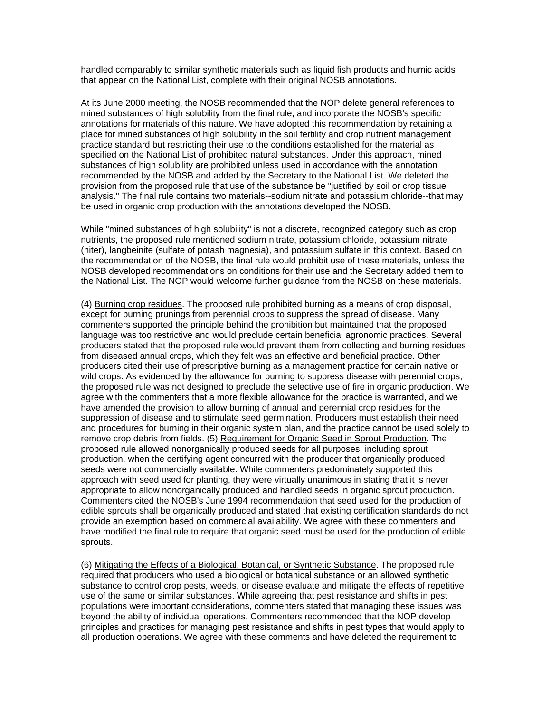handled comparably to similar synthetic materials such as liquid fish products and humic acids that appear on the National List, complete with their original NOSB annotations.

At its June 2000 meeting, the NOSB recommended that the NOP delete general references to mined substances of high solubility from the final rule, and incorporate the NOSB's specific annotations for materials of this nature. We have adopted this recommendation by retaining a place for mined substances of high solubility in the soil fertility and crop nutrient management practice standard but restricting their use to the conditions established for the material as specified on the National List of prohibited natural substances. Under this approach, mined substances of high solubility are prohibited unless used in accordance with the annotation recommended by the NOSB and added by the Secretary to the National List. We deleted the provision from the proposed rule that use of the substance be "justified by soil or crop tissue analysis." The final rule contains two materials--sodium nitrate and potassium chloride--that may be used in organic crop production with the annotations developed the NOSB.

While "mined substances of high solubility" is not a discrete, recognized category such as crop nutrients, the proposed rule mentioned sodium nitrate, potassium chloride, potassium nitrate (niter), langbeinite (sulfate of potash magnesia), and potassium sulfate in this context. Based on the recommendation of the NOSB, the final rule would prohibit use of these materials, unless the NOSB developed recommendations on conditions for their use and the Secretary added them to the National List. The NOP would welcome further guidance from the NOSB on these materials.

(4) Burning crop residues. The proposed rule prohibited burning as a means of crop disposal, except for burning prunings from perennial crops to suppress the spread of disease. Many commenters supported the principle behind the prohibition but maintained that the proposed language was too restrictive and would preclude certain beneficial agronomic practices. Several producers stated that the proposed rule would prevent them from collecting and burning residues from diseased annual crops, which they felt was an effective and beneficial practice. Other producers cited their use of prescriptive burning as a management practice for certain native or wild crops. As evidenced by the allowance for burning to suppress disease with perennial crops, the proposed rule was not designed to preclude the selective use of fire in organic production. We agree with the commenters that a more flexible allowance for the practice is warranted, and we have amended the provision to allow burning of annual and perennial crop residues for the suppression of disease and to stimulate seed germination. Producers must establish their need and procedures for burning in their organic system plan, and the practice cannot be used solely to remove crop debris from fields. (5) Requirement for Organic Seed in Sprout Production. The proposed rule allowed nonorganically produced seeds for all purposes, including sprout production, when the certifying agent concurred with the producer that organically produced seeds were not commercially available. While commenters predominately supported this approach with seed used for planting, they were virtually unanimous in stating that it is never appropriate to allow nonorganically produced and handled seeds in organic sprout production. Commenters cited the NOSB's June 1994 recommendation that seed used for the production of edible sprouts shall be organically produced and stated that existing certification standards do not provide an exemption based on commercial availability. We agree with these commenters and have modified the final rule to require that organic seed must be used for the production of edible sprouts.

(6) Mitigating the Effects of a Biological, Botanical, or Synthetic Substance. The proposed rule required that producers who used a biological or botanical substance or an allowed synthetic substance to control crop pests, weeds, or disease evaluate and mitigate the effects of repetitive use of the same or similar substances. While agreeing that pest resistance and shifts in pest populations were important considerations, commenters stated that managing these issues was beyond the ability of individual operations. Commenters recommended that the NOP develop principles and practices for managing pest resistance and shifts in pest types that would apply to all production operations. We agree with these comments and have deleted the requirement to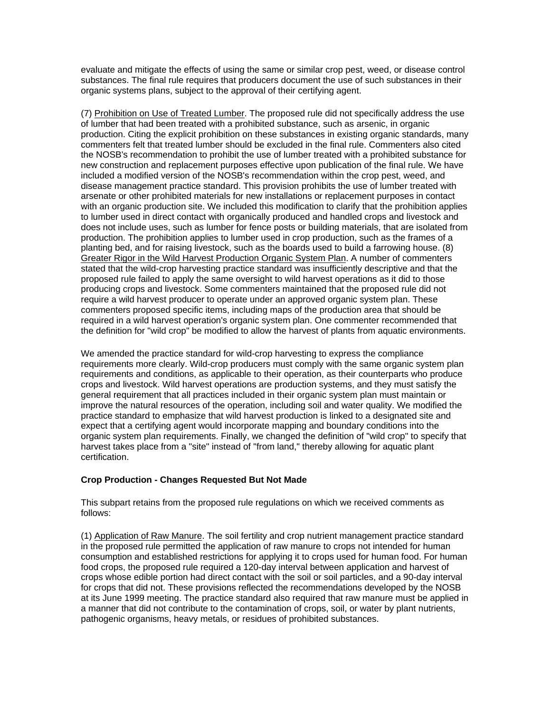evaluate and mitigate the effects of using the same or similar crop pest, weed, or disease control substances. The final rule requires that producers document the use of such substances in their organic systems plans, subject to the approval of their certifying agent.

(7) Prohibition on Use of Treated Lumber. The proposed rule did not specifically address the use of lumber that had been treated with a prohibited substance, such as arsenic, in organic production. Citing the explicit prohibition on these substances in existing organic standards, many commenters felt that treated lumber should be excluded in the final rule. Commenters also cited the NOSB's recommendation to prohibit the use of lumber treated with a prohibited substance for new construction and replacement purposes effective upon publication of the final rule. We have included a modified version of the NOSB's recommendation within the crop pest, weed, and disease management practice standard. This provision prohibits the use of lumber treated with arsenate or other prohibited materials for new installations or replacement purposes in contact with an organic production site. We included this modification to clarify that the prohibition applies to lumber used in direct contact with organically produced and handled crops and livestock and does not include uses, such as lumber for fence posts or building materials, that are isolated from production. The prohibition applies to lumber used in crop production, such as the frames of a planting bed, and for raising livestock, such as the boards used to build a farrowing house. (8) Greater Rigor in the Wild Harvest Production Organic System Plan. A number of commenters stated that the wild-crop harvesting practice standard was insufficiently descriptive and that the proposed rule failed to apply the same oversight to wild harvest operations as it did to those producing crops and livestock. Some commenters maintained that the proposed rule did not require a wild harvest producer to operate under an approved organic system plan. These commenters proposed specific items, including maps of the production area that should be required in a wild harvest operation's organic system plan. One commenter recommended that the definition for "wild crop" be modified to allow the harvest of plants from aquatic environments.

We amended the practice standard for wild-crop harvesting to express the compliance requirements more clearly. Wild-crop producers must comply with the same organic system plan requirements and conditions, as applicable to their operation, as their counterparts who produce crops and livestock. Wild harvest operations are production systems, and they must satisfy the general requirement that all practices included in their organic system plan must maintain or improve the natural resources of the operation, including soil and water quality. We modified the practice standard to emphasize that wild harvest production is linked to a designated site and expect that a certifying agent would incorporate mapping and boundary conditions into the organic system plan requirements. Finally, we changed the definition of "wild crop" to specify that harvest takes place from a "site" instead of "from land," thereby allowing for aquatic plant certification.

# **Crop Production - Changes Requested But Not Made**

This subpart retains from the proposed rule regulations on which we received comments as follows:

(1) Application of Raw Manure. The soil fertility and crop nutrient management practice standard in the proposed rule permitted the application of raw manure to crops not intended for human consumption and established restrictions for applying it to crops used for human food. For human food crops, the proposed rule required a 120-day interval between application and harvest of crops whose edible portion had direct contact with the soil or soil particles, and a 90-day interval for crops that did not. These provisions reflected the recommendations developed by the NOSB at its June 1999 meeting. The practice standard also required that raw manure must be applied in a manner that did not contribute to the contamination of crops, soil, or water by plant nutrients, pathogenic organisms, heavy metals, or residues of prohibited substances.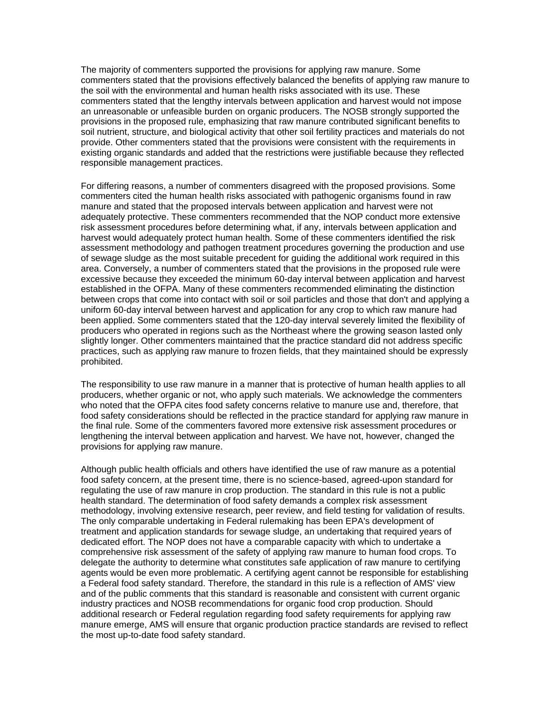The majority of commenters supported the provisions for applying raw manure. Some commenters stated that the provisions effectively balanced the benefits of applying raw manure to the soil with the environmental and human health risks associated with its use. These commenters stated that the lengthy intervals between application and harvest would not impose an unreasonable or unfeasible burden on organic producers. The NOSB strongly supported the provisions in the proposed rule, emphasizing that raw manure contributed significant benefits to soil nutrient, structure, and biological activity that other soil fertility practices and materials do not provide. Other commenters stated that the provisions were consistent with the requirements in existing organic standards and added that the restrictions were justifiable because they reflected responsible management practices.

For differing reasons, a number of commenters disagreed with the proposed provisions. Some commenters cited the human health risks associated with pathogenic organisms found in raw manure and stated that the proposed intervals between application and harvest were not adequately protective. These commenters recommended that the NOP conduct more extensive risk assessment procedures before determining what, if any, intervals between application and harvest would adequately protect human health. Some of these commenters identified the risk assessment methodology and pathogen treatment procedures governing the production and use of sewage sludge as the most suitable precedent for guiding the additional work required in this area. Conversely, a number of commenters stated that the provisions in the proposed rule were excessive because they exceeded the minimum 60-day interval between application and harvest established in the OFPA. Many of these commenters recommended eliminating the distinction between crops that come into contact with soil or soil particles and those that don't and applying a uniform 60-day interval between harvest and application for any crop to which raw manure had been applied. Some commenters stated that the 120-day interval severely limited the flexibility of producers who operated in regions such as the Northeast where the growing season lasted only slightly longer. Other commenters maintained that the practice standard did not address specific practices, such as applying raw manure to frozen fields, that they maintained should be expressly prohibited.

The responsibility to use raw manure in a manner that is protective of human health applies to all producers, whether organic or not, who apply such materials. We acknowledge the commenters who noted that the OFPA cites food safety concerns relative to manure use and, therefore, that food safety considerations should be reflected in the practice standard for applying raw manure in the final rule. Some of the commenters favored more extensive risk assessment procedures or lengthening the interval between application and harvest. We have not, however, changed the provisions for applying raw manure.

Although public health officials and others have identified the use of raw manure as a potential food safety concern, at the present time, there is no science-based, agreed-upon standard for regulating the use of raw manure in crop production. The standard in this rule is not a public health standard. The determination of food safety demands a complex risk assessment methodology, involving extensive research, peer review, and field testing for validation of results. The only comparable undertaking in Federal rulemaking has been EPA's development of treatment and application standards for sewage sludge, an undertaking that required years of dedicated effort. The NOP does not have a comparable capacity with which to undertake a comprehensive risk assessment of the safety of applying raw manure to human food crops. To delegate the authority to determine what constitutes safe application of raw manure to certifying agents would be even more problematic. A certifying agent cannot be responsible for establishing a Federal food safety standard. Therefore, the standard in this rule is a reflection of AMS' view and of the public comments that this standard is reasonable and consistent with current organic industry practices and NOSB recommendations for organic food crop production. Should additional research or Federal regulation regarding food safety requirements for applying raw manure emerge, AMS will ensure that organic production practice standards are revised to reflect the most up-to-date food safety standard.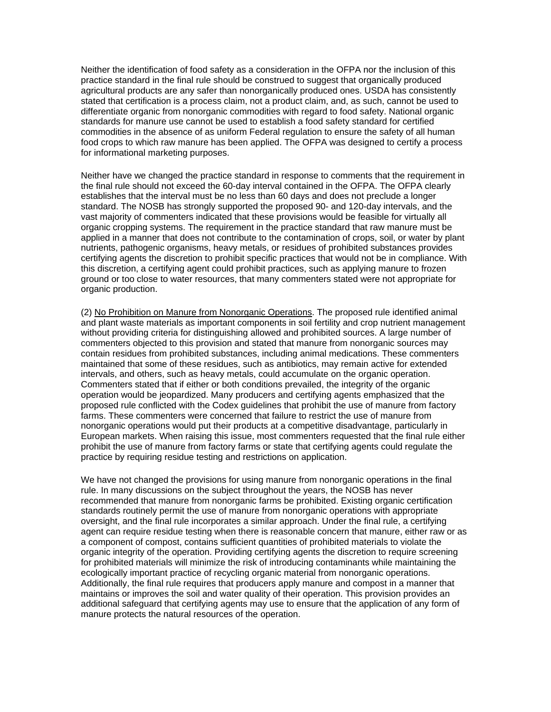Neither the identification of food safety as a consideration in the OFPA nor the inclusion of this practice standard in the final rule should be construed to suggest that organically produced agricultural products are any safer than nonorganically produced ones. USDA has consistently stated that certification is a process claim, not a product claim, and, as such, cannot be used to differentiate organic from nonorganic commodities with regard to food safety. National organic standards for manure use cannot be used to establish a food safety standard for certified commodities in the absence of as uniform Federal regulation to ensure the safety of all human food crops to which raw manure has been applied. The OFPA was designed to certify a process for informational marketing purposes.

Neither have we changed the practice standard in response to comments that the requirement in the final rule should not exceed the 60-day interval contained in the OFPA. The OFPA clearly establishes that the interval must be no less than 60 days and does not preclude a longer standard. The NOSB has strongly supported the proposed 90- and 120-day intervals, and the vast majority of commenters indicated that these provisions would be feasible for virtually all organic cropping systems. The requirement in the practice standard that raw manure must be applied in a manner that does not contribute to the contamination of crops, soil, or water by plant nutrients, pathogenic organisms, heavy metals, or residues of prohibited substances provides certifying agents the discretion to prohibit specific practices that would not be in compliance. With this discretion, a certifying agent could prohibit practices, such as applying manure to frozen ground or too close to water resources, that many commenters stated were not appropriate for organic production.

(2) No Prohibition on Manure from Nonorganic Operations. The proposed rule identified animal and plant waste materials as important components in soil fertility and crop nutrient management without providing criteria for distinguishing allowed and prohibited sources. A large number of commenters objected to this provision and stated that manure from nonorganic sources may contain residues from prohibited substances, including animal medications. These commenters maintained that some of these residues, such as antibiotics, may remain active for extended intervals, and others, such as heavy metals, could accumulate on the organic operation. Commenters stated that if either or both conditions prevailed, the integrity of the organic operation would be jeopardized. Many producers and certifying agents emphasized that the proposed rule conflicted with the Codex guidelines that prohibit the use of manure from factory farms. These commenters were concerned that failure to restrict the use of manure from nonorganic operations would put their products at a competitive disadvantage, particularly in European markets. When raising this issue, most commenters requested that the final rule either prohibit the use of manure from factory farms or state that certifying agents could regulate the practice by requiring residue testing and restrictions on application.

We have not changed the provisions for using manure from nonorganic operations in the final rule. In many discussions on the subject throughout the years, the NOSB has never recommended that manure from nonorganic farms be prohibited. Existing organic certification standards routinely permit the use of manure from nonorganic operations with appropriate oversight, and the final rule incorporates a similar approach. Under the final rule, a certifying agent can require residue testing when there is reasonable concern that manure, either raw or as a component of compost, contains sufficient quantities of prohibited materials to violate the organic integrity of the operation. Providing certifying agents the discretion to require screening for prohibited materials will minimize the risk of introducing contaminants while maintaining the ecologically important practice of recycling organic material from nonorganic operations. Additionally, the final rule requires that producers apply manure and compost in a manner that maintains or improves the soil and water quality of their operation. This provision provides an additional safeguard that certifying agents may use to ensure that the application of any form of manure protects the natural resources of the operation.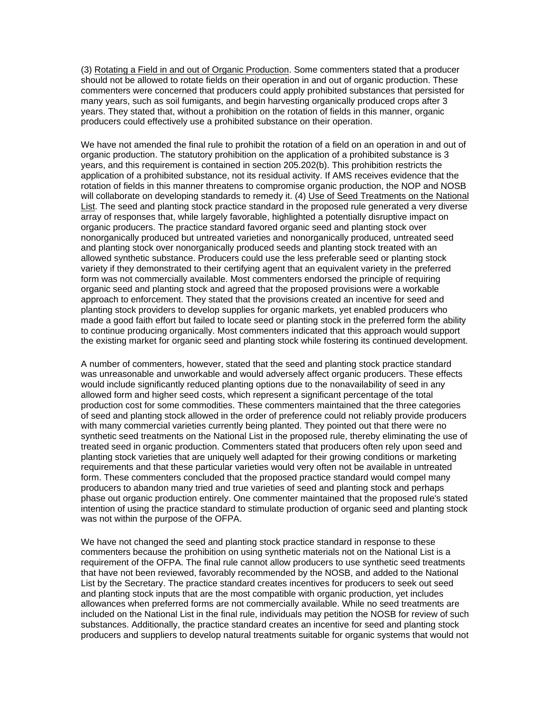(3) Rotating a Field in and out of Organic Production. Some commenters stated that a producer should not be allowed to rotate fields on their operation in and out of organic production. These commenters were concerned that producers could apply prohibited substances that persisted for many years, such as soil fumigants, and begin harvesting organically produced crops after 3 years. They stated that, without a prohibition on the rotation of fields in this manner, organic producers could effectively use a prohibited substance on their operation.

We have not amended the final rule to prohibit the rotation of a field on an operation in and out of organic production. The statutory prohibition on the application of a prohibited substance is 3 years, and this requirement is contained in section 205.202(b). This prohibition restricts the application of a prohibited substance, not its residual activity. If AMS receives evidence that the rotation of fields in this manner threatens to compromise organic production, the NOP and NOSB will collaborate on developing standards to remedy it. (4) Use of Seed Treatments on the National List. The seed and planting stock practice standard in the proposed rule generated a very diverse array of responses that, while largely favorable, highlighted a potentially disruptive impact on organic producers. The practice standard favored organic seed and planting stock over nonorganically produced but untreated varieties and nonorganically produced, untreated seed and planting stock over nonorganically produced seeds and planting stock treated with an allowed synthetic substance. Producers could use the less preferable seed or planting stock variety if they demonstrated to their certifying agent that an equivalent variety in the preferred form was not commercially available. Most commenters endorsed the principle of requiring organic seed and planting stock and agreed that the proposed provisions were a workable approach to enforcement. They stated that the provisions created an incentive for seed and planting stock providers to develop supplies for organic markets, yet enabled producers who made a good faith effort but failed to locate seed or planting stock in the preferred form the ability to continue producing organically. Most commenters indicated that this approach would support the existing market for organic seed and planting stock while fostering its continued development.

A number of commenters, however, stated that the seed and planting stock practice standard was unreasonable and unworkable and would adversely affect organic producers. These effects would include significantly reduced planting options due to the nonavailability of seed in any allowed form and higher seed costs, which represent a significant percentage of the total production cost for some commodities. These commenters maintained that the three categories of seed and planting stock allowed in the order of preference could not reliably provide producers with many commercial varieties currently being planted. They pointed out that there were no synthetic seed treatments on the National List in the proposed rule, thereby eliminating the use of treated seed in organic production. Commenters stated that producers often rely upon seed and planting stock varieties that are uniquely well adapted for their growing conditions or marketing requirements and that these particular varieties would very often not be available in untreated form. These commenters concluded that the proposed practice standard would compel many producers to abandon many tried and true varieties of seed and planting stock and perhaps phase out organic production entirely. One commenter maintained that the proposed rule's stated intention of using the practice standard to stimulate production of organic seed and planting stock was not within the purpose of the OFPA.

We have not changed the seed and planting stock practice standard in response to these commenters because the prohibition on using synthetic materials not on the National List is a requirement of the OFPA. The final rule cannot allow producers to use synthetic seed treatments that have not been reviewed, favorably recommended by the NOSB, and added to the National List by the Secretary. The practice standard creates incentives for producers to seek out seed and planting stock inputs that are the most compatible with organic production, yet includes allowances when preferred forms are not commercially available. While no seed treatments are included on the National List in the final rule, individuals may petition the NOSB for review of such substances. Additionally, the practice standard creates an incentive for seed and planting stock producers and suppliers to develop natural treatments suitable for organic systems that would not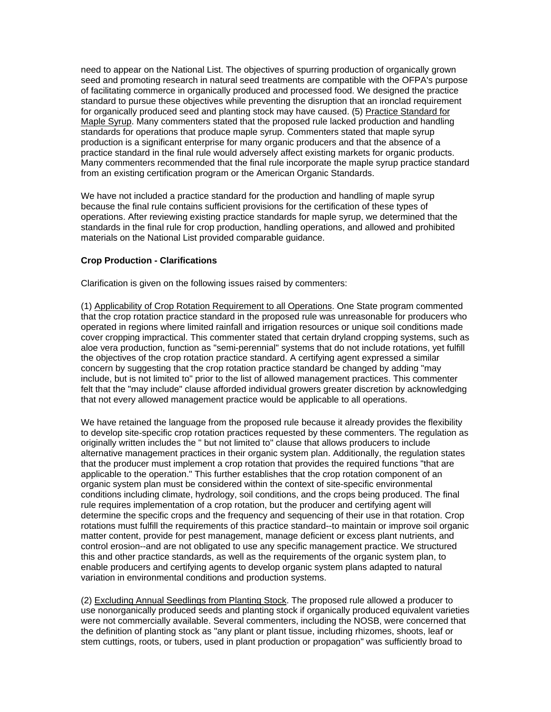need to appear on the National List. The objectives of spurring production of organically grown seed and promoting research in natural seed treatments are compatible with the OFPA's purpose of facilitating commerce in organically produced and processed food. We designed the practice standard to pursue these objectives while preventing the disruption that an ironclad requirement for organically produced seed and planting stock may have caused. (5) Practice Standard for Maple Syrup. Many commenters stated that the proposed rule lacked production and handling standards for operations that produce maple syrup. Commenters stated that maple syrup production is a significant enterprise for many organic producers and that the absence of a practice standard in the final rule would adversely affect existing markets for organic products. Many commenters recommended that the final rule incorporate the maple syrup practice standard from an existing certification program or the American Organic Standards.

We have not included a practice standard for the production and handling of maple syrup because the final rule contains sufficient provisions for the certification of these types of operations. After reviewing existing practice standards for maple syrup, we determined that the standards in the final rule for crop production, handling operations, and allowed and prohibited materials on the National List provided comparable guidance.

# **Crop Production - Clarifications**

Clarification is given on the following issues raised by commenters:

(1) Applicability of Crop Rotation Requirement to all Operations. One State program commented that the crop rotation practice standard in the proposed rule was unreasonable for producers who operated in regions where limited rainfall and irrigation resources or unique soil conditions made cover cropping impractical. This commenter stated that certain dryland cropping systems, such as aloe vera production, function as "semi-perennial" systems that do not include rotations, yet fulfill the objectives of the crop rotation practice standard. A certifying agent expressed a similar concern by suggesting that the crop rotation practice standard be changed by adding "may include, but is not limited to" prior to the list of allowed management practices. This commenter felt that the "may include" clause afforded individual growers greater discretion by acknowledging that not every allowed management practice would be applicable to all operations.

We have retained the language from the proposed rule because it already provides the flexibility to develop site-specific crop rotation practices requested by these commenters. The regulation as originally written includes the " but not limited to" clause that allows producers to include alternative management practices in their organic system plan. Additionally, the regulation states that the producer must implement a crop rotation that provides the required functions "that are applicable to the operation." This further establishes that the crop rotation component of an organic system plan must be considered within the context of site-specific environmental conditions including climate, hydrology, soil conditions, and the crops being produced. The final rule requires implementation of a crop rotation, but the producer and certifying agent will determine the specific crops and the frequency and sequencing of their use in that rotation. Crop rotations must fulfill the requirements of this practice standard--to maintain or improve soil organic matter content, provide for pest management, manage deficient or excess plant nutrients, and control erosion--and are not obligated to use any specific management practice. We structured this and other practice standards, as well as the requirements of the organic system plan, to enable producers and certifying agents to develop organic system plans adapted to natural variation in environmental conditions and production systems.

(2) Excluding Annual Seedlings from Planting Stock. The proposed rule allowed a producer to use nonorganically produced seeds and planting stock if organically produced equivalent varieties were not commercially available. Several commenters, including the NOSB, were concerned that the definition of planting stock as "any plant or plant tissue, including rhizomes, shoots, leaf or stem cuttings, roots, or tubers, used in plant production or propagation" was sufficiently broad to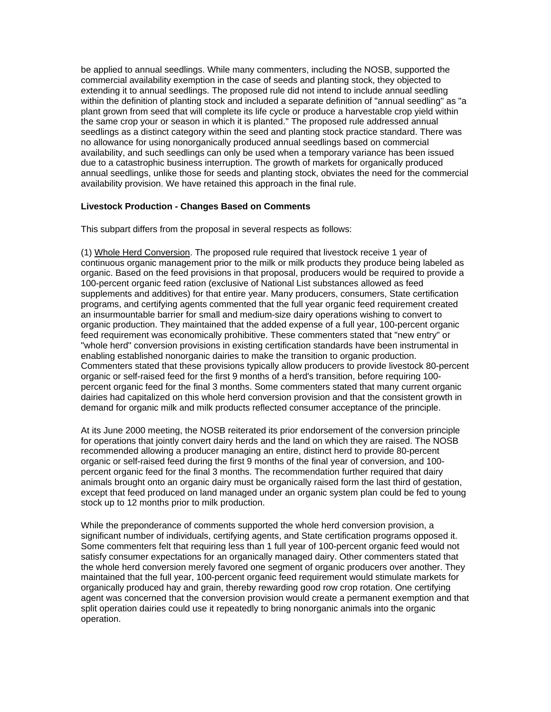be applied to annual seedlings. While many commenters, including the NOSB, supported the commercial availability exemption in the case of seeds and planting stock, they objected to extending it to annual seedlings. The proposed rule did not intend to include annual seedling within the definition of planting stock and included a separate definition of "annual seedling" as "a plant grown from seed that will complete its life cycle or produce a harvestable crop yield within the same crop your or season in which it is planted." The proposed rule addressed annual seedlings as a distinct category within the seed and planting stock practice standard. There was no allowance for using nonorganically produced annual seedlings based on commercial availability, and such seedlings can only be used when a temporary variance has been issued due to a catastrophic business interruption. The growth of markets for organically produced annual seedlings, unlike those for seeds and planting stock, obviates the need for the commercial availability provision. We have retained this approach in the final rule.

# **Livestock Production - Changes Based on Comments**

This subpart differs from the proposal in several respects as follows:

(1) Whole Herd Conversion. The proposed rule required that livestock receive 1 year of continuous organic management prior to the milk or milk products they produce being labeled as organic. Based on the feed provisions in that proposal, producers would be required to provide a 100-percent organic feed ration (exclusive of National List substances allowed as feed supplements and additives) for that entire year. Many producers, consumers, State certification programs, and certifying agents commented that the full year organic feed requirement created an insurmountable barrier for small and medium-size dairy operations wishing to convert to organic production. They maintained that the added expense of a full year, 100-percent organic feed requirement was economically prohibitive. These commenters stated that "new entry" or "whole herd" conversion provisions in existing certification standards have been instrumental in enabling established nonorganic dairies to make the transition to organic production. Commenters stated that these provisions typically allow producers to provide livestock 80-percent organic or self-raised feed for the first 9 months of a herd's transition, before requiring 100 percent organic feed for the final 3 months. Some commenters stated that many current organic dairies had capitalized on this whole herd conversion provision and that the consistent growth in demand for organic milk and milk products reflected consumer acceptance of the principle.

At its June 2000 meeting, the NOSB reiterated its prior endorsement of the conversion principle for operations that jointly convert dairy herds and the land on which they are raised. The NOSB recommended allowing a producer managing an entire, distinct herd to provide 80-percent organic or self-raised feed during the first 9 months of the final year of conversion, and 100 percent organic feed for the final 3 months. The recommendation further required that dairy animals brought onto an organic dairy must be organically raised form the last third of gestation, except that feed produced on land managed under an organic system plan could be fed to young stock up to 12 months prior to milk production.

While the preponderance of comments supported the whole herd conversion provision, a significant number of individuals, certifying agents, and State certification programs opposed it. Some commenters felt that requiring less than 1 full year of 100-percent organic feed would not satisfy consumer expectations for an organically managed dairy. Other commenters stated that the whole herd conversion merely favored one segment of organic producers over another. They maintained that the full year, 100-percent organic feed requirement would stimulate markets for organically produced hay and grain, thereby rewarding good row crop rotation. One certifying agent was concerned that the conversion provision would create a permanent exemption and that split operation dairies could use it repeatedly to bring nonorganic animals into the organic operation.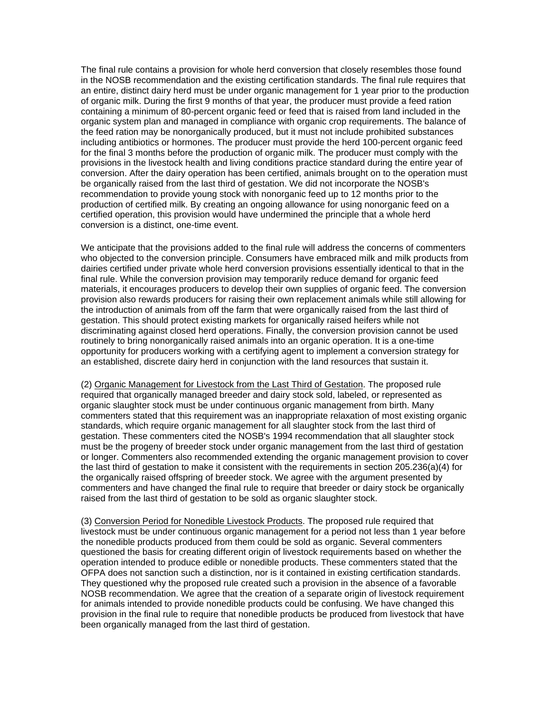The final rule contains a provision for whole herd conversion that closely resembles those found in the NOSB recommendation and the existing certification standards. The final rule requires that an entire, distinct dairy herd must be under organic management for 1 year prior to the production of organic milk. During the first 9 months of that year, the producer must provide a feed ration containing a minimum of 80-percent organic feed or feed that is raised from land included in the organic system plan and managed in compliance with organic crop requirements. The balance of the feed ration may be nonorganically produced, but it must not include prohibited substances including antibiotics or hormones. The producer must provide the herd 100-percent organic feed for the final 3 months before the production of organic milk. The producer must comply with the provisions in the livestock health and living conditions practice standard during the entire year of conversion. After the dairy operation has been certified, animals brought on to the operation must be organically raised from the last third of gestation. We did not incorporate the NOSB's recommendation to provide young stock with nonorganic feed up to 12 months prior to the production of certified milk. By creating an ongoing allowance for using nonorganic feed on a certified operation, this provision would have undermined the principle that a whole herd conversion is a distinct, one-time event.

We anticipate that the provisions added to the final rule will address the concerns of commenters who objected to the conversion principle. Consumers have embraced milk and milk products from dairies certified under private whole herd conversion provisions essentially identical to that in the final rule. While the conversion provision may temporarily reduce demand for organic feed materials, it encourages producers to develop their own supplies of organic feed. The conversion provision also rewards producers for raising their own replacement animals while still allowing for the introduction of animals from off the farm that were organically raised from the last third of gestation. This should protect existing markets for organically raised heifers while not discriminating against closed herd operations. Finally, the conversion provision cannot be used routinely to bring nonorganically raised animals into an organic operation. It is a one-time opportunity for producers working with a certifying agent to implement a conversion strategy for an established, discrete dairy herd in conjunction with the land resources that sustain it.

(2) Organic Management for Livestock from the Last Third of Gestation. The proposed rule required that organically managed breeder and dairy stock sold, labeled, or represented as organic slaughter stock must be under continuous organic management from birth. Many commenters stated that this requirement was an inappropriate relaxation of most existing organic standards, which require organic management for all slaughter stock from the last third of gestation. These commenters cited the NOSB's 1994 recommendation that all slaughter stock must be the progeny of breeder stock under organic management from the last third of gestation or longer. Commenters also recommended extending the organic management provision to cover the last third of gestation to make it consistent with the requirements in section 205.236(a)(4) for the organically raised offspring of breeder stock. We agree with the argument presented by commenters and have changed the final rule to require that breeder or dairy stock be organically raised from the last third of gestation to be sold as organic slaughter stock.

(3) Conversion Period for Nonedible Livestock Products. The proposed rule required that livestock must be under continuous organic management for a period not less than 1 year before the nonedible products produced from them could be sold as organic. Several commenters questioned the basis for creating different origin of livestock requirements based on whether the operation intended to produce edible or nonedible products. These commenters stated that the OFPA does not sanction such a distinction, nor is it contained in existing certification standards. They questioned why the proposed rule created such a provision in the absence of a favorable NOSB recommendation. We agree that the creation of a separate origin of livestock requirement for animals intended to provide nonedible products could be confusing. We have changed this provision in the final rule to require that nonedible products be produced from livestock that have been organically managed from the last third of gestation.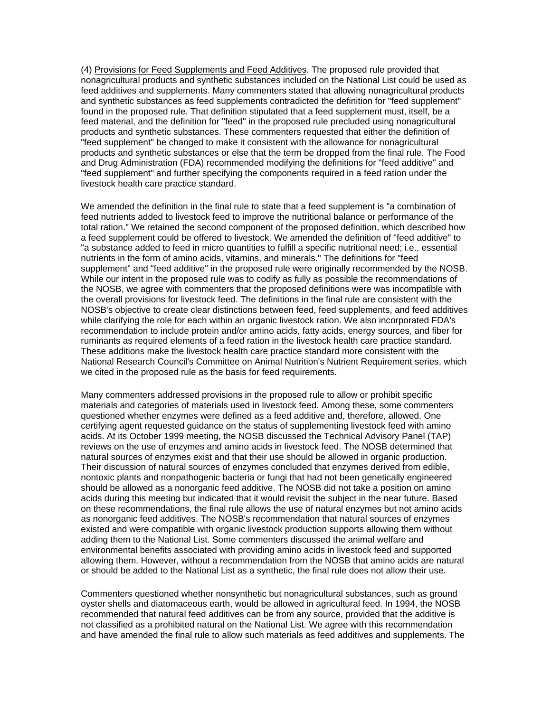(4) Provisions for Feed Supplements and Feed Additives. The proposed rule provided that nonagricultural products and synthetic substances included on the National List could be used as feed additives and supplements. Many commenters stated that allowing nonagricultural products and synthetic substances as feed supplements contradicted the definition for "feed supplement" found in the proposed rule. That definition stipulated that a feed supplement must, itself, be a feed material, and the definition for "feed" in the proposed rule precluded using nonagricultural products and synthetic substances. These commenters requested that either the definition of "feed supplement" be changed to make it consistent with the allowance for nonagricultural products and synthetic substances or else that the term be dropped from the final rule. The Food and Drug Administration (FDA) recommended modifying the definitions for "feed additive" and "feed supplement" and further specifying the components required in a feed ration under the livestock health care practice standard.

We amended the definition in the final rule to state that a feed supplement is "a combination of feed nutrients added to livestock feed to improve the nutritional balance or performance of the total ration." We retained the second component of the proposed definition, which described how a feed supplement could be offered to livestock. We amended the definition of "feed additive" to "a substance added to feed in micro quantities to fulfill a specific nutritional need; i.e., essential nutrients in the form of amino acids, vitamins, and minerals." The definitions for "feed supplement" and "feed additive" in the proposed rule were originally recommended by the NOSB. While our intent in the proposed rule was to codify as fully as possible the recommendations of the NOSB, we agree with commenters that the proposed definitions were was incompatible with the overall provisions for livestock feed. The definitions in the final rule are consistent with the NOSB's objective to create clear distinctions between feed, feed supplements, and feed additives while clarifying the role for each within an organic livestock ration. We also incorporated FDA's recommendation to include protein and/or amino acids, fatty acids, energy sources, and fiber for ruminants as required elements of a feed ration in the livestock health care practice standard. These additions make the livestock health care practice standard more consistent with the National Research Council's Committee on Animal Nutrition's Nutrient Requirement series, which we cited in the proposed rule as the basis for feed requirements.

Many commenters addressed provisions in the proposed rule to allow or prohibit specific materials and categories of materials used in livestock feed. Among these, some commenters questioned whether enzymes were defined as a feed additive and, therefore, allowed. One certifying agent requested guidance on the status of supplementing livestock feed with amino acids. At its October 1999 meeting, the NOSB discussed the Technical Advisory Panel (TAP) reviews on the use of enzymes and amino acids in livestock feed. The NOSB determined that natural sources of enzymes exist and that their use should be allowed in organic production. Their discussion of natural sources of enzymes concluded that enzymes derived from edible, nontoxic plants and nonpathogenic bacteria or fungi that had not been genetically engineered should be allowed as a nonorganic feed additive. The NOSB did not take a position on amino acids during this meeting but indicated that it would revisit the subject in the near future. Based on these recommendations, the final rule allows the use of natural enzymes but not amino acids as nonorganic feed additives. The NOSB's recommendation that natural sources of enzymes existed and were compatible with organic livestock production supports allowing them without adding them to the National List. Some commenters discussed the animal welfare and environmental benefits associated with providing amino acids in livestock feed and supported allowing them. However, without a recommendation from the NOSB that amino acids are natural or should be added to the National List as a synthetic, the final rule does not allow their use.

Commenters questioned whether nonsynthetic but nonagricultural substances, such as ground oyster shells and diatomaceous earth, would be allowed in agricultural feed. In 1994, the NOSB recommended that natural feed additives can be from any source, provided that the additive is not classified as a prohibited natural on the National List. We agree with this recommendation and have amended the final rule to allow such materials as feed additives and supplements. The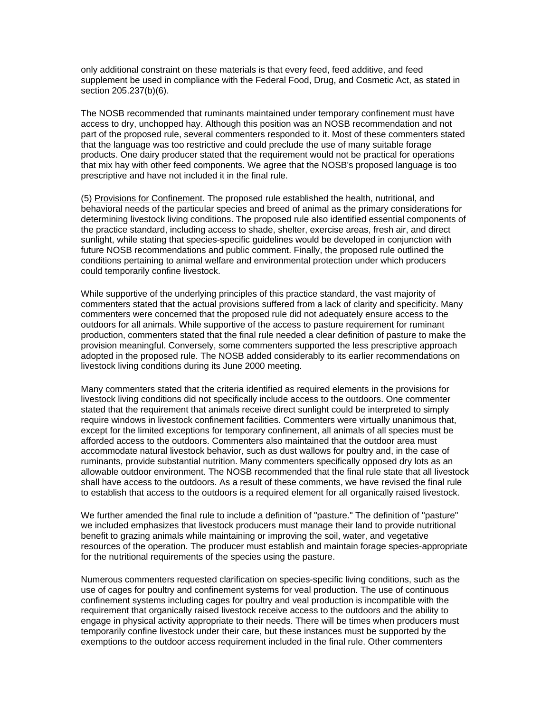only additional constraint on these materials is that every feed, feed additive, and feed supplement be used in compliance with the Federal Food, Drug, and Cosmetic Act, as stated in section 205.237(b)(6).

The NOSB recommended that ruminants maintained under temporary confinement must have access to dry, unchopped hay. Although this position was an NOSB recommendation and not part of the proposed rule, several commenters responded to it. Most of these commenters stated that the language was too restrictive and could preclude the use of many suitable forage products. One dairy producer stated that the requirement would not be practical for operations that mix hay with other feed components. We agree that the NOSB's proposed language is too prescriptive and have not included it in the final rule.

(5) Provisions for Confinement. The proposed rule established the health, nutritional, and behavioral needs of the particular species and breed of animal as the primary considerations for determining livestock living conditions. The proposed rule also identified essential components of the practice standard, including access to shade, shelter, exercise areas, fresh air, and direct sunlight, while stating that species-specific guidelines would be developed in conjunction with future NOSB recommendations and public comment. Finally, the proposed rule outlined the conditions pertaining to animal welfare and environmental protection under which producers could temporarily confine livestock.

While supportive of the underlying principles of this practice standard, the vast majority of commenters stated that the actual provisions suffered from a lack of clarity and specificity. Many commenters were concerned that the proposed rule did not adequately ensure access to the outdoors for all animals. While supportive of the access to pasture requirement for ruminant production, commenters stated that the final rule needed a clear definition of pasture to make the provision meaningful. Conversely, some commenters supported the less prescriptive approach adopted in the proposed rule. The NOSB added considerably to its earlier recommendations on livestock living conditions during its June 2000 meeting.

Many commenters stated that the criteria identified as required elements in the provisions for livestock living conditions did not specifically include access to the outdoors. One commenter stated that the requirement that animals receive direct sunlight could be interpreted to simply require windows in livestock confinement facilities. Commenters were virtually unanimous that, except for the limited exceptions for temporary confinement, all animals of all species must be afforded access to the outdoors. Commenters also maintained that the outdoor area must accommodate natural livestock behavior, such as dust wallows for poultry and, in the case of ruminants, provide substantial nutrition. Many commenters specifically opposed dry lots as an allowable outdoor environment. The NOSB recommended that the final rule state that all livestock shall have access to the outdoors. As a result of these comments, we have revised the final rule to establish that access to the outdoors is a required element for all organically raised livestock.

We further amended the final rule to include a definition of "pasture." The definition of "pasture" we included emphasizes that livestock producers must manage their land to provide nutritional benefit to grazing animals while maintaining or improving the soil, water, and vegetative resources of the operation. The producer must establish and maintain forage species-appropriate for the nutritional requirements of the species using the pasture.

Numerous commenters requested clarification on species-specific living conditions, such as the use of cages for poultry and confinement systems for veal production. The use of continuous confinement systems including cages for poultry and veal production is incompatible with the requirement that organically raised livestock receive access to the outdoors and the ability to engage in physical activity appropriate to their needs. There will be times when producers must temporarily confine livestock under their care, but these instances must be supported by the exemptions to the outdoor access requirement included in the final rule. Other commenters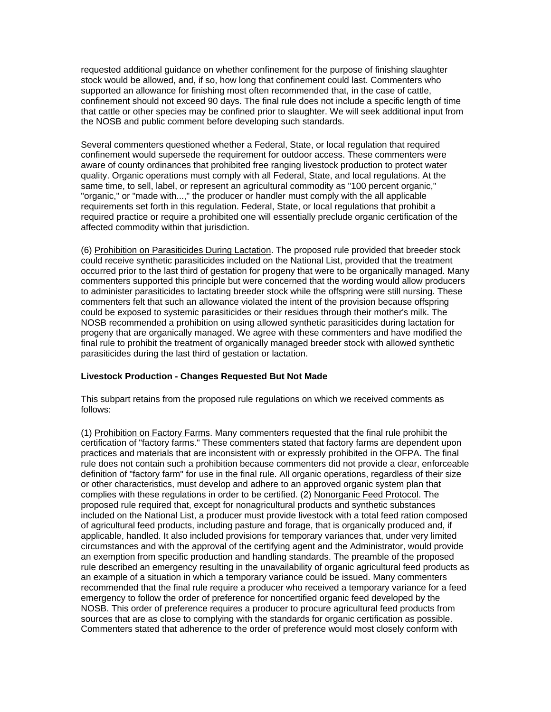requested additional guidance on whether confinement for the purpose of finishing slaughter stock would be allowed, and, if so, how long that confinement could last. Commenters who supported an allowance for finishing most often recommended that, in the case of cattle, confinement should not exceed 90 days. The final rule does not include a specific length of time that cattle or other species may be confined prior to slaughter. We will seek additional input from the NOSB and public comment before developing such standards.

Several commenters questioned whether a Federal, State, or local regulation that required confinement would supersede the requirement for outdoor access. These commenters were aware of county ordinances that prohibited free ranging livestock production to protect water quality. Organic operations must comply with all Federal, State, and local regulations. At the same time, to sell, label, or represent an agricultural commodity as "100 percent organic," "organic," or "made with...," the producer or handler must comply with the all applicable requirements set forth in this regulation. Federal, State, or local regulations that prohibit a required practice or require a prohibited one will essentially preclude organic certification of the affected commodity within that jurisdiction.

(6) Prohibition on Parasiticides During Lactation. The proposed rule provided that breeder stock could receive synthetic parasiticides included on the National List, provided that the treatment occurred prior to the last third of gestation for progeny that were to be organically managed. Many commenters supported this principle but were concerned that the wording would allow producers to administer parasiticides to lactating breeder stock while the offspring were still nursing. These commenters felt that such an allowance violated the intent of the provision because offspring could be exposed to systemic parasiticides or their residues through their mother's milk. The NOSB recommended a prohibition on using allowed synthetic parasiticides during lactation for progeny that are organically managed. We agree with these commenters and have modified the final rule to prohibit the treatment of organically managed breeder stock with allowed synthetic parasiticides during the last third of gestation or lactation.

# **Livestock Production - Changes Requested But Not Made**

This subpart retains from the proposed rule regulations on which we received comments as follows:

(1) Prohibition on Factory Farms. Many commenters requested that the final rule prohibit the certification of "factory farms." These commenters stated that factory farms are dependent upon practices and materials that are inconsistent with or expressly prohibited in the OFPA. The final rule does not contain such a prohibition because commenters did not provide a clear, enforceable definition of "factory farm" for use in the final rule. All organic operations, regardless of their size or other characteristics, must develop and adhere to an approved organic system plan that complies with these regulations in order to be certified. (2) Nonorganic Feed Protocol. The proposed rule required that, except for nonagricultural products and synthetic substances included on the National List, a producer must provide livestock with a total feed ration composed of agricultural feed products, including pasture and forage, that is organically produced and, if applicable, handled. It also included provisions for temporary variances that, under very limited circumstances and with the approval of the certifying agent and the Administrator, would provide an exemption from specific production and handling standards. The preamble of the proposed rule described an emergency resulting in the unavailability of organic agricultural feed products as an example of a situation in which a temporary variance could be issued. Many commenters recommended that the final rule require a producer who received a temporary variance for a feed emergency to follow the order of preference for noncertified organic feed developed by the NOSB. This order of preference requires a producer to procure agricultural feed products from sources that are as close to complying with the standards for organic certification as possible. Commenters stated that adherence to the order of preference would most closely conform with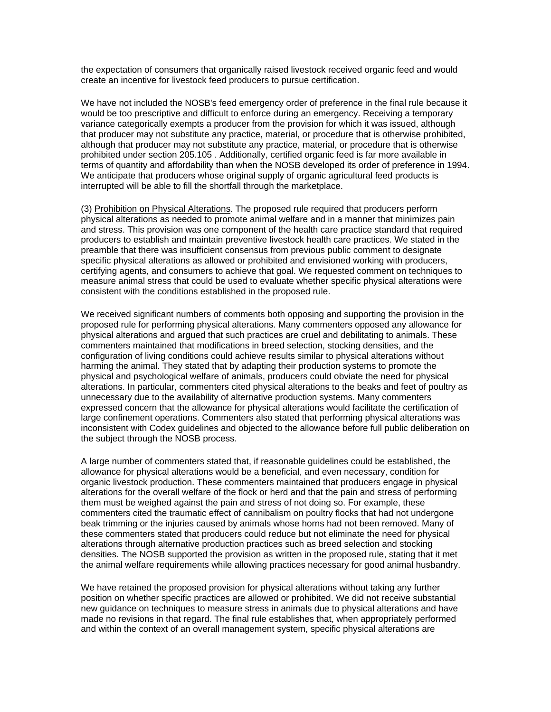the expectation of consumers that organically raised livestock received organic feed and would create an incentive for livestock feed producers to pursue certification.

We have not included the NOSB's feed emergency order of preference in the final rule because it would be too prescriptive and difficult to enforce during an emergency. Receiving a temporary variance categorically exempts a producer from the provision for which it was issued, although that producer may not substitute any practice, material, or procedure that is otherwise prohibited, although that producer may not substitute any practice, material, or procedure that is otherwise prohibited under section 205.105 . Additionally, certified organic feed is far more available in terms of quantity and affordability than when the NOSB developed its order of preference in 1994. We anticipate that producers whose original supply of organic agricultural feed products is interrupted will be able to fill the shortfall through the marketplace.

(3) Prohibition on Physical Alterations. The proposed rule required that producers perform physical alterations as needed to promote animal welfare and in a manner that minimizes pain and stress. This provision was one component of the health care practice standard that required producers to establish and maintain preventive livestock health care practices. We stated in the preamble that there was insufficient consensus from previous public comment to designate specific physical alterations as allowed or prohibited and envisioned working with producers, certifying agents, and consumers to achieve that goal. We requested comment on techniques to measure animal stress that could be used to evaluate whether specific physical alterations were consistent with the conditions established in the proposed rule.

We received significant numbers of comments both opposing and supporting the provision in the proposed rule for performing physical alterations. Many commenters opposed any allowance for physical alterations and argued that such practices are cruel and debilitating to animals. These commenters maintained that modifications in breed selection, stocking densities, and the configuration of living conditions could achieve results similar to physical alterations without harming the animal. They stated that by adapting their production systems to promote the physical and psychological welfare of animals, producers could obviate the need for physical alterations. In particular, commenters cited physical alterations to the beaks and feet of poultry as unnecessary due to the availability of alternative production systems. Many commenters expressed concern that the allowance for physical alterations would facilitate the certification of large confinement operations. Commenters also stated that performing physical alterations was inconsistent with Codex guidelines and objected to the allowance before full public deliberation on the subject through the NOSB process.

A large number of commenters stated that, if reasonable guidelines could be established, the allowance for physical alterations would be a beneficial, and even necessary, condition for organic livestock production. These commenters maintained that producers engage in physical alterations for the overall welfare of the flock or herd and that the pain and stress of performing them must be weighed against the pain and stress of not doing so. For example, these commenters cited the traumatic effect of cannibalism on poultry flocks that had not undergone beak trimming or the injuries caused by animals whose horns had not been removed. Many of these commenters stated that producers could reduce but not eliminate the need for physical alterations through alternative production practices such as breed selection and stocking densities. The NOSB supported the provision as written in the proposed rule, stating that it met the animal welfare requirements while allowing practices necessary for good animal husbandry.

We have retained the proposed provision for physical alterations without taking any further position on whether specific practices are allowed or prohibited. We did not receive substantial new guidance on techniques to measure stress in animals due to physical alterations and have made no revisions in that regard. The final rule establishes that, when appropriately performed and within the context of an overall management system, specific physical alterations are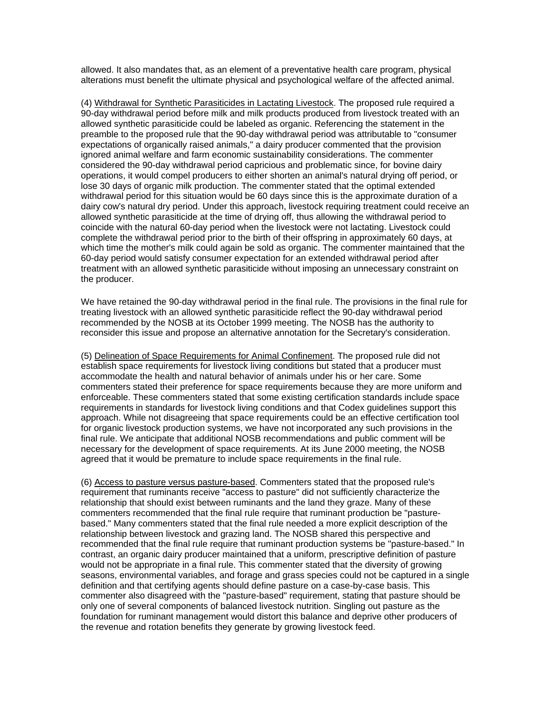allowed. It also mandates that, as an element of a preventative health care program, physical alterations must benefit the ultimate physical and psychological welfare of the affected animal.

(4) Withdrawal for Synthetic Parasiticides in Lactating Livestock. The proposed rule required a 90-day withdrawal period before milk and milk products produced from livestock treated with an allowed synthetic parasiticide could be labeled as organic. Referencing the statement in the preamble to the proposed rule that the 90-day withdrawal period was attributable to "consumer expectations of organically raised animals," a dairy producer commented that the provision ignored animal welfare and farm economic sustainability considerations. The commenter considered the 90-day withdrawal period capricious and problematic since, for bovine dairy operations, it would compel producers to either shorten an animal's natural drying off period, or lose 30 days of organic milk production. The commenter stated that the optimal extended withdrawal period for this situation would be 60 days since this is the approximate duration of a dairy cow's natural dry period. Under this approach, livestock requiring treatment could receive an allowed synthetic parasiticide at the time of drying off, thus allowing the withdrawal period to coincide with the natural 60-day period when the livestock were not lactating. Livestock could complete the withdrawal period prior to the birth of their offspring in approximately 60 days, at which time the mother's milk could again be sold as organic. The commenter maintained that the 60-day period would satisfy consumer expectation for an extended withdrawal period after treatment with an allowed synthetic parasiticide without imposing an unnecessary constraint on the producer.

We have retained the 90-day withdrawal period in the final rule. The provisions in the final rule for treating livestock with an allowed synthetic parasiticide reflect the 90-day withdrawal period recommended by the NOSB at its October 1999 meeting. The NOSB has the authority to reconsider this issue and propose an alternative annotation for the Secretary's consideration.

(5) Delineation of Space Requirements for Animal Confinement. The proposed rule did not establish space requirements for livestock living conditions but stated that a producer must accommodate the health and natural behavior of animals under his or her care. Some commenters stated their preference for space requirements because they are more uniform and enforceable. These commenters stated that some existing certification standards include space requirements in standards for livestock living conditions and that Codex guidelines support this approach. While not disagreeing that space requirements could be an effective certification tool for organic livestock production systems, we have not incorporated any such provisions in the final rule. We anticipate that additional NOSB recommendations and public comment will be necessary for the development of space requirements. At its June 2000 meeting, the NOSB agreed that it would be premature to include space requirements in the final rule.

(6) Access to pasture versus pasture-based. Commenters stated that the proposed rule's requirement that ruminants receive "access to pasture" did not sufficiently characterize the relationship that should exist between ruminants and the land they graze. Many of these commenters recommended that the final rule require that ruminant production be "pasturebased." Many commenters stated that the final rule needed a more explicit description of the relationship between livestock and grazing land. The NOSB shared this perspective and recommended that the final rule require that ruminant production systems be "pasture-based." In contrast, an organic dairy producer maintained that a uniform, prescriptive definition of pasture would not be appropriate in a final rule. This commenter stated that the diversity of growing seasons, environmental variables, and forage and grass species could not be captured in a single definition and that certifying agents should define pasture on a case-by-case basis. This commenter also disagreed with the "pasture-based" requirement, stating that pasture should be only one of several components of balanced livestock nutrition. Singling out pasture as the foundation for ruminant management would distort this balance and deprive other producers of the revenue and rotation benefits they generate by growing livestock feed.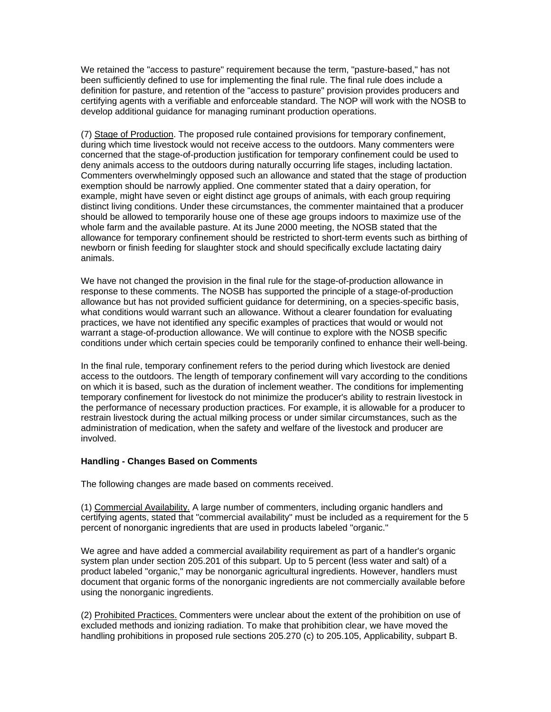We retained the "access to pasture" requirement because the term, "pasture-based," has not been sufficiently defined to use for implementing the final rule. The final rule does include a definition for pasture, and retention of the "access to pasture" provision provides producers and certifying agents with a verifiable and enforceable standard. The NOP will work with the NOSB to develop additional guidance for managing ruminant production operations.

(7) Stage of Production. The proposed rule contained provisions for temporary confinement, during which time livestock would not receive access to the outdoors. Many commenters were concerned that the stage-of-production justification for temporary confinement could be used to deny animals access to the outdoors during naturally occurring life stages, including lactation. Commenters overwhelmingly opposed such an allowance and stated that the stage of production exemption should be narrowly applied. One commenter stated that a dairy operation, for example, might have seven or eight distinct age groups of animals, with each group requiring distinct living conditions. Under these circumstances, the commenter maintained that a producer should be allowed to temporarily house one of these age groups indoors to maximize use of the whole farm and the available pasture. At its June 2000 meeting, the NOSB stated that the allowance for temporary confinement should be restricted to short-term events such as birthing of newborn or finish feeding for slaughter stock and should specifically exclude lactating dairy animals.

We have not changed the provision in the final rule for the stage-of-production allowance in response to these comments. The NOSB has supported the principle of a stage-of-production allowance but has not provided sufficient guidance for determining, on a species-specific basis, what conditions would warrant such an allowance. Without a clearer foundation for evaluating practices, we have not identified any specific examples of practices that would or would not warrant a stage-of-production allowance. We will continue to explore with the NOSB specific conditions under which certain species could be temporarily confined to enhance their well-being.

In the final rule, temporary confinement refers to the period during which livestock are denied access to the outdoors. The length of temporary confinement will vary according to the conditions on which it is based, such as the duration of inclement weather. The conditions for implementing temporary confinement for livestock do not minimize the producer's ability to restrain livestock in the performance of necessary production practices. For example, it is allowable for a producer to restrain livestock during the actual milking process or under similar circumstances, such as the administration of medication, when the safety and welfare of the livestock and producer are involved.

#### **Handling - Changes Based on Comments**

The following changes are made based on comments received.

(1) Commercial Availability. A large number of commenters, including organic handlers and certifying agents, stated that "commercial availability" must be included as a requirement for the 5 percent of nonorganic ingredients that are used in products labeled "organic."

We agree and have added a commercial availability requirement as part of a handler's organic system plan under section 205.201 of this subpart. Up to 5 percent (less water and salt) of a product labeled "organic," may be nonorganic agricultural ingredients. However, handlers must document that organic forms of the nonorganic ingredients are not commercially available before using the nonorganic ingredients.

(2) Prohibited Practices. Commenters were unclear about the extent of the prohibition on use of excluded methods and ionizing radiation. To make that prohibition clear, we have moved the handling prohibitions in proposed rule sections 205.270 (c) to 205.105, Applicability, subpart B.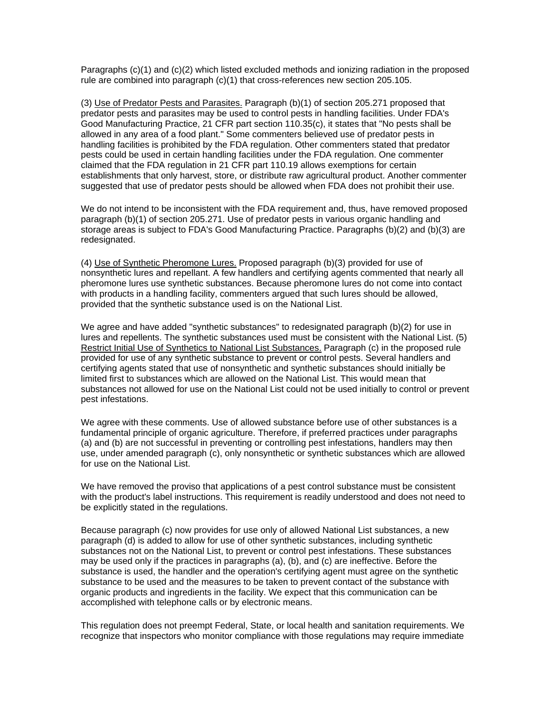Paragraphs (c)(1) and (c)(2) which listed excluded methods and ionizing radiation in the proposed rule are combined into paragraph (c)(1) that cross-references new section 205.105.

(3) Use of Predator Pests and Parasites. Paragraph (b)(1) of section 205.271 proposed that predator pests and parasites may be used to control pests in handling facilities. Under FDA's Good Manufacturing Practice, 21 CFR part section 110.35(c), it states that "No pests shall be allowed in any area of a food plant." Some commenters believed use of predator pests in handling facilities is prohibited by the FDA regulation. Other commenters stated that predator pests could be used in certain handling facilities under the FDA regulation. One commenter claimed that the FDA regulation in 21 CFR part 110.19 allows exemptions for certain establishments that only harvest, store, or distribute raw agricultural product. Another commenter suggested that use of predator pests should be allowed when FDA does not prohibit their use.

We do not intend to be inconsistent with the FDA requirement and, thus, have removed proposed paragraph (b)(1) of section 205.271. Use of predator pests in various organic handling and storage areas is subject to FDA's Good Manufacturing Practice. Paragraphs (b)(2) and (b)(3) are redesignated.

(4) Use of Synthetic Pheromone Lures. Proposed paragraph (b)(3) provided for use of nonsynthetic lures and repellant. A few handlers and certifying agents commented that nearly all pheromone lures use synthetic substances. Because pheromone lures do not come into contact with products in a handling facility, commenters argued that such lures should be allowed, provided that the synthetic substance used is on the National List.

We agree and have added "synthetic substances" to redesignated paragraph (b)(2) for use in lures and repellents. The synthetic substances used must be consistent with the National List. (5) Restrict Initial Use of Synthetics to National List Substances. Paragraph (c) in the proposed rule provided for use of any synthetic substance to prevent or control pests. Several handlers and certifying agents stated that use of nonsynthetic and synthetic substances should initially be limited first to substances which are allowed on the National List. This would mean that substances not allowed for use on the National List could not be used initially to control or prevent pest infestations.

We agree with these comments. Use of allowed substance before use of other substances is a fundamental principle of organic agriculture. Therefore, if preferred practices under paragraphs (a) and (b) are not successful in preventing or controlling pest infestations, handlers may then use, under amended paragraph (c), only nonsynthetic or synthetic substances which are allowed for use on the National List.

We have removed the proviso that applications of a pest control substance must be consistent with the product's label instructions. This requirement is readily understood and does not need to be explicitly stated in the regulations.

Because paragraph (c) now provides for use only of allowed National List substances, a new paragraph (d) is added to allow for use of other synthetic substances, including synthetic substances not on the National List, to prevent or control pest infestations. These substances may be used only if the practices in paragraphs (a), (b), and (c) are ineffective. Before the substance is used, the handler and the operation's certifying agent must agree on the synthetic substance to be used and the measures to be taken to prevent contact of the substance with organic products and ingredients in the facility. We expect that this communication can be accomplished with telephone calls or by electronic means.

This regulation does not preempt Federal, State, or local health and sanitation requirements. We recognize that inspectors who monitor compliance with those regulations may require immediate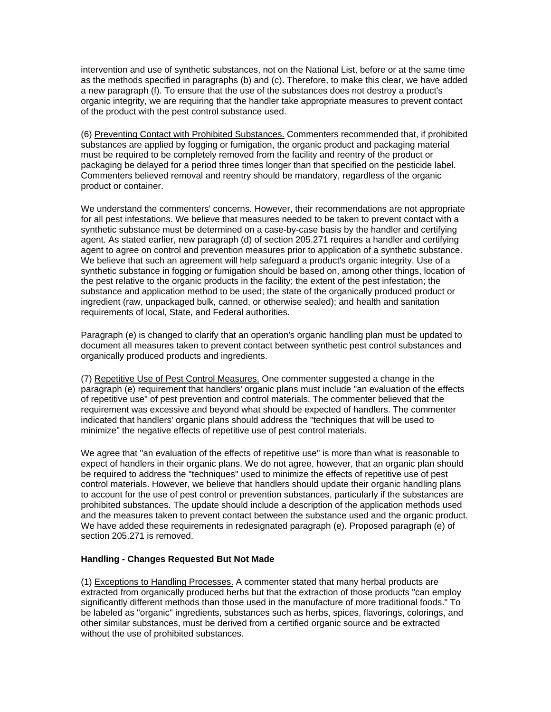intervention and use of synthetic substances, not on the National List, before or at the same time as the methods specified in paragraphs (b) and (c). Therefore, to make this clear, we have added a new paragraph (f). To ensure that the use of the substances does not destroy a product's organic integrity, we are requiring that the handler take appropriate measures to prevent contact of the product with the pest control substance used.

(6) Preventing Contact with Prohibited Substances. Commenters recommended that, if prohibited substances are applied by fogging or fumigation, the organic product and packaging material must be required to be completely removed from the facility and reentry of the product or packaging be delayed for a period three times longer than that specified on the pesticide label. Commenters believed removal and reentry should be mandatory, regardless of the organic product or container.

We understand the commenters' concerns. However, their recommendations are not appropriate for all pest infestations. We believe that measures needed to be taken to prevent contact with a synthetic substance must be determined on a case-by-case basis by the handler and certifying agent. As stated earlier, new paragraph (d) of section 205.271 requires a handler and certifying agent to agree on control and prevention measures prior to application of a synthetic substance. We believe that such an agreement will help safeguard a product's organic integrity. Use of a synthetic substance in fogging or fumigation should be based on, among other things, location of the pest relative to the organic products in the facility; the extent of the pest infestation; the substance and application method to be used; the state of the organically produced product or ingredient (raw, unpackaged bulk, canned, or otherwise sealed); and health and sanitation requirements of local, State, and Federal authorities.

Paragraph (e) is changed to clarify that an operation's organic handling plan must be updated to document all measures taken to prevent contact between synthetic pest control substances and organically produced products and ingredients.

(7) Repetitive Use of Pest Control Measures. One commenter suggested a change in the paragraph (e) requirement that handlers' organic plans must include "an evaluation of the effects of repetitive use" of pest prevention and control materials. The commenter believed that the requirement was excessive and beyond what should be expected of handlers. The commenter indicated that handlers' organic plans should address the "techniques that will be used to minimize" the negative effects of repetitive use of pest control materials.

We agree that "an evaluation of the effects of repetitive use" is more than what is reasonable to expect of handlers in their organic plans. We do not agree, however, that an organic plan should be required to address the "techniques" used to minimize the effects of repetitive use of pest control materials. However, we believe that handlers should update their organic handling plans to account for the use of pest control or prevention substances, particularly if the substances are prohibited substances. The update should include a description of the application methods used and the measures taken to prevent contact between the substance used and the organic product. We have added these requirements in redesignated paragraph (e). Proposed paragraph (e) of section 205.271 is removed.

# **Handling - Changes Requested But Not Made**

(1) Exceptions to Handling Processes. A commenter stated that many herbal products are extracted from organically produced herbs but that the extraction of those products "can employ significantly different methods than those used in the manufacture of more traditional foods." To be labeled as "organic" ingredients, substances such as herbs, spices, flavorings, colorings, and other similar substances, must be derived from a certified organic source and be extracted without the use of prohibited substances.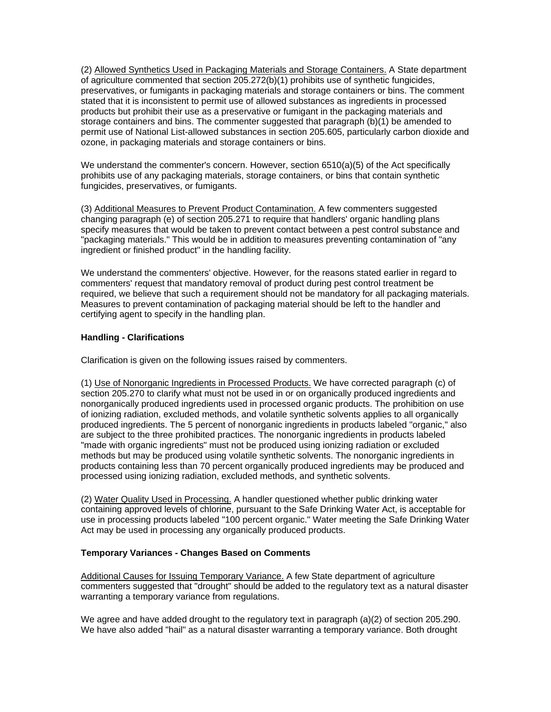(2) Allowed Synthetics Used in Packaging Materials and Storage Containers. A State department of agriculture commented that section 205.272(b)(1) prohibits use of synthetic fungicides, preservatives, or fumigants in packaging materials and storage containers or bins. The comment stated that it is inconsistent to permit use of allowed substances as ingredients in processed products but prohibit their use as a preservative or fumigant in the packaging materials and storage containers and bins. The commenter suggested that paragraph (b)(1) be amended to permit use of National List-allowed substances in section 205.605, particularly carbon dioxide and ozone, in packaging materials and storage containers or bins.

We understand the commenter's concern. However, section 6510(a)(5) of the Act specifically prohibits use of any packaging materials, storage containers, or bins that contain synthetic fungicides, preservatives, or fumigants.

(3) Additional Measures to Prevent Product Contamination. A few commenters suggested changing paragraph (e) of section 205.271 to require that handlers' organic handling plans specify measures that would be taken to prevent contact between a pest control substance and "packaging materials." This would be in addition to measures preventing contamination of "any ingredient or finished product" in the handling facility.

We understand the commenters' objective. However, for the reasons stated earlier in regard to commenters' request that mandatory removal of product during pest control treatment be required, we believe that such a requirement should not be mandatory for all packaging materials. Measures to prevent contamination of packaging material should be left to the handler and certifying agent to specify in the handling plan.

# **Handling - Clarifications**

Clarification is given on the following issues raised by commenters.

(1) Use of Nonorganic Ingredients in Processed Products. We have corrected paragraph (c) of section 205.270 to clarify what must not be used in or on organically produced ingredients and nonorganically produced ingredients used in processed organic products. The prohibition on use of ionizing radiation, excluded methods, and volatile synthetic solvents applies to all organically produced ingredients. The 5 percent of nonorganic ingredients in products labeled "organic," also are subject to the three prohibited practices. The nonorganic ingredients in products labeled "made with organic ingredients" must not be produced using ionizing radiation or excluded methods but may be produced using volatile synthetic solvents. The nonorganic ingredients in products containing less than 70 percent organically produced ingredients may be produced and processed using ionizing radiation, excluded methods, and synthetic solvents.

(2) Water Quality Used in Processing. A handler questioned whether public drinking water containing approved levels of chlorine, pursuant to the Safe Drinking Water Act, is acceptable for use in processing products labeled "100 percent organic." Water meeting the Safe Drinking Water Act may be used in processing any organically produced products.

#### **Temporary Variances - Changes Based on Comments**

Additional Causes for Issuing Temporary Variance. A few State department of agriculture commenters suggested that "drought" should be added to the regulatory text as a natural disaster warranting a temporary variance from regulations.

We agree and have added drought to the regulatory text in paragraph (a)(2) of section 205.290. We have also added "hail" as a natural disaster warranting a temporary variance. Both drought